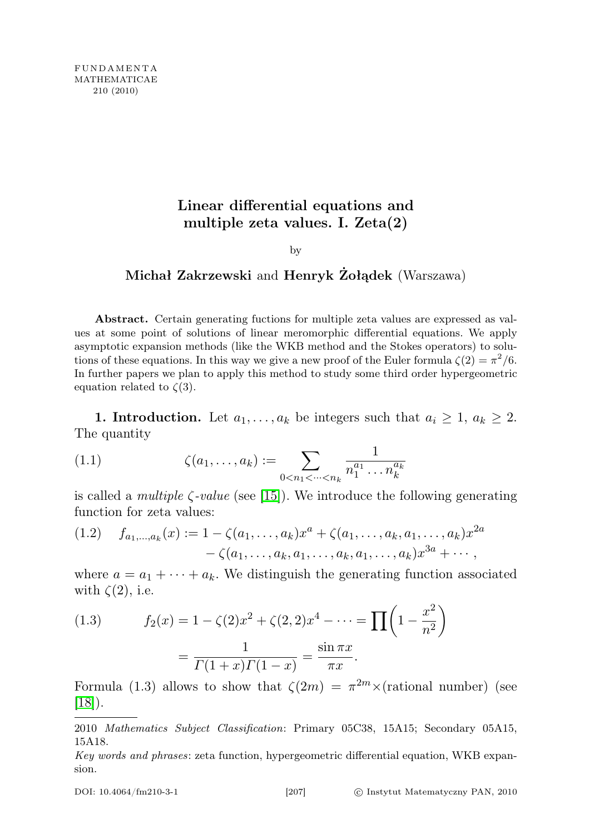# Linear differential equations and multiple zeta values. I. Zeta(2)

by

## Michał Zakrzewski and Henryk Żołądek (Warszawa)

Abstract. Certain generating fuctions for multiple zeta values are expressed as values at some point of solutions of linear meromorphic differential equations. We apply asymptotic expansion methods (like the WKB method and the Stokes operators) to solutions of these equations. In this way we give a new proof of the Euler formula  $\zeta(2) = \pi^2/6$ . In further papers we plan to apply this method to study some third order hypergeometric equation related to  $\zeta(3)$ .

1. Introduction. Let  $a_1, \ldots, a_k$  be integers such that  $a_i \geq 1, a_k \geq 2$ . The quantity

(1.1) 
$$
\zeta(a_1,\ldots,a_k) := \sum_{0 < n_1 < \cdots < n_k} \frac{1}{n_1^{a_1} \ldots n_k^{a_k}}
$$

is called a *multiple*  $\zeta$ -value (see [\[15\]](#page-34-0)). We introduce the following generating function for zeta values:

$$
(1.2) \t f_{a_1,\ldots,a_k}(x) := 1 - \zeta(a_1,\ldots,a_k)x^a + \zeta(a_1,\ldots,a_k,a_1,\ldots,a_k)x^{2a} - \zeta(a_1,\ldots,a_k,a_1,\ldots,a_k,a_1,\ldots,a_k)x^{3a} + \cdots,
$$

where  $a = a_1 + \cdots + a_k$ . We distinguish the generating function associated with  $\zeta(2)$ , i.e.

(1.3) 
$$
f_2(x) = 1 - \zeta(2)x^2 + \zeta(2, 2)x^4 - \dots = \prod \left(1 - \frac{x^2}{n^2}\right)
$$

$$
= \frac{1}{\Gamma(1+x)\Gamma(1-x)} = \frac{\sin \pi x}{\pi x}.
$$

Formula (1.3) allows to show that  $\zeta(2m) = \pi^{2m} \times (rational number)$  (see [\[18\]](#page-35-0)).

<sup>2010</sup> Mathematics Subject Classification: Primary 05C38, 15A15; Secondary 05A15, 15A18.

Key words and phrases: zeta function, hypergeometric differential equation, WKB expansion.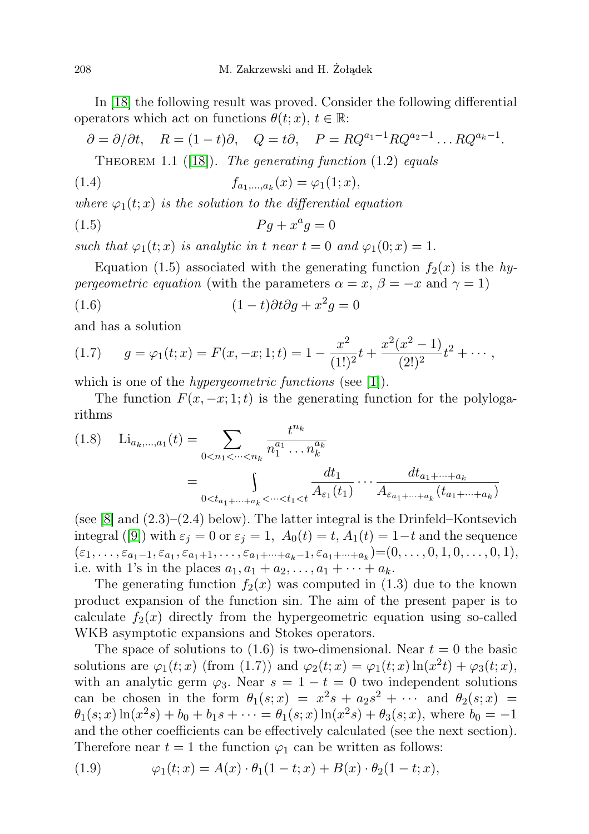In [\[18\]](#page-35-0) the following result was proved. Consider the following differential operators which act on functions  $\theta(t; x)$ ,  $t \in \mathbb{R}$ :

$$
\partial = \partial/\partial t
$$
,  $R = (1 - t)\partial$ ,  $Q = t\partial$ ,  $P = RQ^{a_1-1}RQ^{a_2-1} \dots RQ^{a_k-1}$ .

THEOREM 1.1 ([\[18\]](#page-35-0)). The generating function  $(1.2)$  equals

(1.4) 
$$
f_{a_1,...,a_k}(x) = \varphi_1(1;x),
$$

where  $\varphi_1(t; x)$  is the solution to the differential equation

$$
(1.5) \t\t Pg + x^a g = 0
$$

such that  $\varphi_1(t; x)$  is analytic in t near  $t = 0$  and  $\varphi_1(0; x) = 1$ .

Equation (1.5) associated with the generating function  $f_2(x)$  is the hy*pergeometric equation* (with the parameters  $\alpha = x, \beta = -x$  and  $\gamma = 1$ )

(1.6) 
$$
(1-t)\partial t \partial g + x^2 g = 0
$$

and has a solution

(1.7) 
$$
g = \varphi_1(t; x) = F(x, -x; 1; t) = 1 - \frac{x^2}{(1!)^2}t + \frac{x^2(x^2 - 1)}{(2!)^2}t^2 + \cdots,
$$

which is one of the *hypergeometric functions* (see [\[1\]](#page-34-1)).

The function  $F(x, -x; 1; t)$  is the generating function for the polylogarithms

$$
(1.8) \quad \text{Li}_{a_k,\dots,a_1}(t) = \sum_{0 < n_1 < \dots < n_k} \frac{t^{n_k}}{n_1^{a_1} \dots n_k^{a_k}} \\
= \int_{0 < t_{a_1 + \dots + a_k} < \dots < t_1 < t} \frac{dt_1}{A_{\varepsilon_1}(t_1)} \dots \frac{dt_{a_1 + \dots + a_k}}{A_{\varepsilon_{a_1 + \dots + a_k}}(t_{a_1 + \dots + a_k})}
$$

(see  $[8]$  and  $(2.3)-(2.4)$  below). The latter integral is the Drinfeld–Kontsevich integral ([\[9\]](#page-34-3)) with  $\varepsilon_j = 0$  or  $\varepsilon_j = 1$ ,  $A_0(t) = t$ ,  $A_1(t) = 1-t$  and the sequence  $(\varepsilon_1, \ldots, \varepsilon_{a_1-1}, \varepsilon_{a_1}, \varepsilon_{a_1+1}, \ldots, \varepsilon_{a_1+\cdots+a_k-1}, \varepsilon_{a_1+\cdots+a_k}) = (0, \ldots, 0, 1, 0, \ldots, 0, 1),$ i.e. with 1's in the places  $a_1, a_1 + a_2, ..., a_1 + \cdots + a_k$ .

The generating function  $f_2(x)$  was computed in (1.3) due to the known product expansion of the function sin. The aim of the present paper is to calculate  $f_2(x)$  directly from the hypergeometric equation using so-called WKB asymptotic expansions and Stokes operators.

The space of solutions to  $(1.6)$  is two-dimensional. Near  $t = 0$  the basic solutions are  $\varphi_1(t; x)$  (from (1.7)) and  $\varphi_2(t; x) = \varphi_1(t; x) \ln(x^2 t) + \varphi_3(t; x)$ , with an analytic germ  $\varphi_3$ . Near  $s = 1 - t = 0$  two independent solutions can be chosen in the form  $\theta_1(s;x) = x^2s + a_2s^2 + \cdots$  and  $\theta_2(s;x) =$  $\theta_1(s; x) \ln(x^2 s) + b_0 + b_1 s + \cdots = \theta_1(s; x) \ln(x^2 s) + \theta_3(s; x)$ , where  $b_0 = -1$ and the other coefficients can be effectively calculated (see the next section). Therefore near  $t = 1$  the function  $\varphi_1$  can be written as follows:

(1.9) 
$$
\varphi_1(t;x) = A(x) \cdot \theta_1(1-t;x) + B(x) \cdot \theta_2(1-t;x),
$$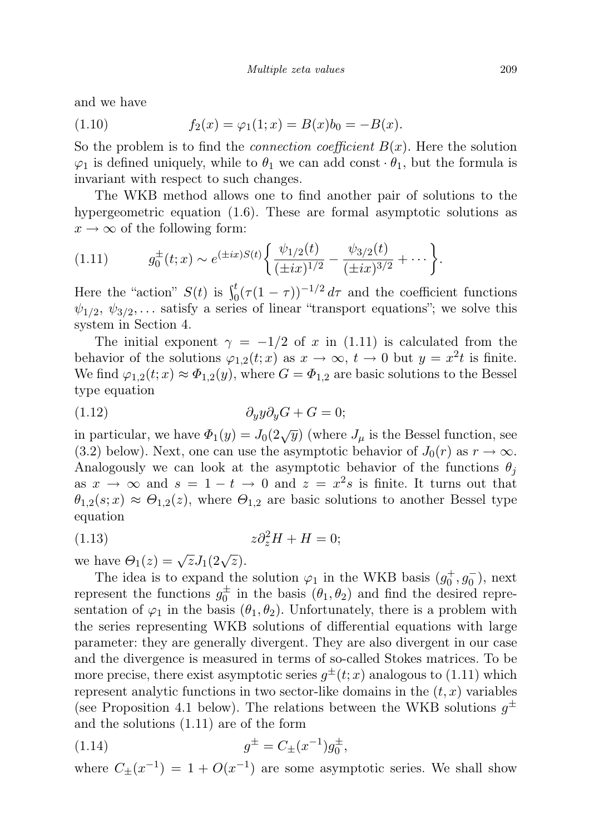and we have

(1.10) 
$$
f_2(x) = \varphi_1(1; x) = B(x)b_0 = -B(x).
$$

So the problem is to find the *connection coefficient*  $B(x)$ . Here the solution  $\varphi_1$  is defined uniquely, while to  $\theta_1$  we can add const  $\theta_1$ , but the formula is invariant with respect to such changes.

The WKB method allows one to find another pair of solutions to the hypergeometric equation (1.6). These are formal asymptotic solutions as  $x \to \infty$  of the following form:

$$
(1.11) \t g_0^{\pm}(t;x) \sim e^{(\pm ix)S(t)} \bigg\{ \frac{\psi_{1/2}(t)}{(\pm ix)^{1/2}} - \frac{\psi_{3/2}(t)}{(\pm ix)^{3/2}} + \cdots \bigg\}.
$$

Here the "action"  $S(t)$  is  $\int_0^t (\tau (1 - \tau))^{-1/2} d\tau$  and the coefficient functions  $\psi_{1/2}, \psi_{3/2}, \dots$  satisfy a series of linear "transport equations"; we solve this system in Section 4.

The initial exponent  $\gamma = -1/2$  of x in (1.11) is calculated from the behavior of the solutions  $\varphi_{1,2}(t;x)$  as  $x \to \infty$ ,  $t \to 0$  but  $y = x^2t$  is finite. We find  $\varphi_{1,2}(t; x) \approx \Phi_{1,2}(y)$ , where  $G = \Phi_{1,2}$  are basic solutions to the Bessel type equation

$$
(1.12)\qquad \qquad \partial_y y \partial_y G + G = 0;
$$

in particular, we have  $\Phi_1(y) = J_0(2\sqrt{y})$  (where  $J_\mu$  is the Bessel function, see (3.2) below). Next, one can use the asymptotic behavior of  $J_0(r)$  as  $r \to \infty$ . Analogously we can look at the asymptotic behavior of the functions  $\theta_i$ as  $x \to \infty$  and  $s = 1 - t \to 0$  and  $z = x^2 s$  is finite. It turns out that  $\theta_{1,2}(s;x) \approx \Theta_{1,2}(z)$ , where  $\Theta_{1,2}$  are basic solutions to another Bessel type equation

$$
(1.13)\t\t\t z\partial_z^2 H + H = 0;
$$

we have  $\Theta_1(z) = \sqrt{z} J_1(2\sqrt{z}).$ 

The idea is to expand the solution  $\varphi_1$  in the WKB basis  $(g_0^+, g_0^-)$ , next represent the functions  $g_0^{\pm}$  in the basis  $(\theta_1, \theta_2)$  and find the desired representation of  $\varphi_1$  in the basis  $(\theta_1, \theta_2)$ . Unfortunately, there is a problem with the series representing WKB solutions of differential equations with large parameter: they are generally divergent. They are also divergent in our case and the divergence is measured in terms of so-called Stokes matrices. To be more precise, there exist asymptotic series  $g^{\pm}(t;x)$  analogous to (1.11) which represent analytic functions in two sector-like domains in the  $(t, x)$  variables (see Proposition 4.1 below). The relations between the WKB solutions  $g^{\pm}$ and the solutions (1.11) are of the form

(1.14) 
$$
g^{\pm} = C_{\pm}(x^{-1})g_0^{\pm},
$$

where  $C_{\pm}(x^{-1}) = 1 + O(x^{-1})$  are some asymptotic series. We shall show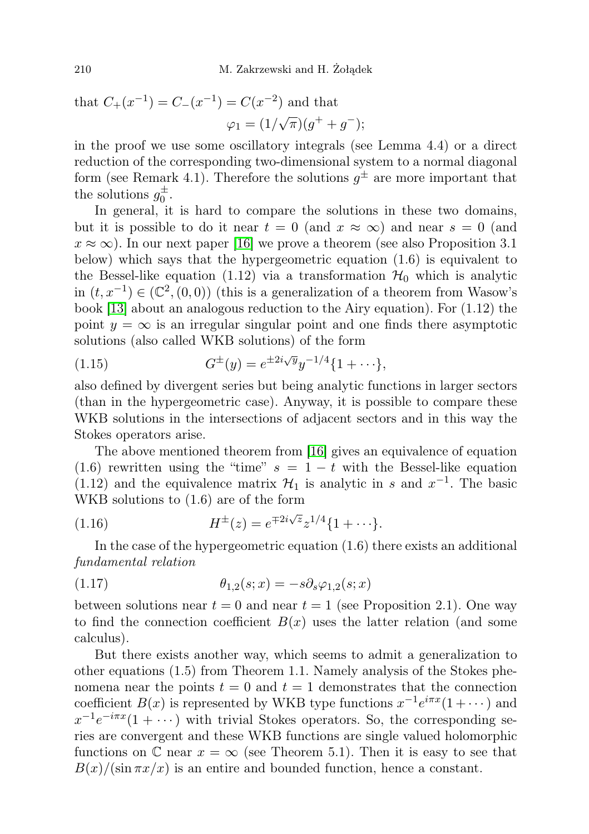that 
$$
C_{+}(x^{-1}) = C_{-}(x^{-1}) = C(x^{-2})
$$
 and that  

$$
\varphi_1 = (1/\sqrt{\pi})(g^+ + g^-);
$$

in the proof we use some oscillatory integrals (see Lemma 4.4) or a direct reduction of the corresponding two-dimensional system to a normal diagonal form (see Remark 4.1). Therefore the solutions  $g^{\pm}$  are more important that the solutions  $g_0^{\pm}$ .

In general, it is hard to compare the solutions in these two domains, but it is possible to do it near  $t = 0$  (and  $x \approx \infty$ ) and near  $s = 0$  (and  $x \approx \infty$ ). In our next paper [\[16\]](#page-34-4) we prove a theorem (see also Proposition 3.1) below) which says that the hypergeometric equation (1.6) is equivalent to the Bessel-like equation (1.12) via a transformation  $\mathcal{H}_0$  which is analytic in  $(t, x^{-1})$  ∈  $(\mathbb{C}^2, (0, 0))$  (this is a generalization of a theorem from Wasow's book [\[13\]](#page-34-5) about an analogous reduction to the Airy equation). For (1.12) the point  $y = \infty$  is an irregular singular point and one finds there asymptotic solutions (also called WKB solutions) of the form

(1.15) 
$$
G^{\pm}(y) = e^{\pm 2i\sqrt{y}} y^{-1/4} \{1 + \cdots\},
$$

also defined by divergent series but being analytic functions in larger sectors (than in the hypergeometric case). Anyway, it is possible to compare these WKB solutions in the intersections of adjacent sectors and in this way the Stokes operators arise.

The above mentioned theorem from [\[16\]](#page-34-4) gives an equivalence of equation (1.6) rewritten using the "time"  $s = 1 - t$  with the Bessel-like equation (1.12) and the equivalence matrix  $\mathcal{H}_1$  is analytic in s and  $x^{-1}$ . The basic WKB solutions to (1.6) are of the form

(1.16) 
$$
H^{\pm}(z) = e^{\mp 2i\sqrt{z}} z^{1/4} \{1 + \cdots\}.
$$

In the case of the hypergeometric equation (1.6) there exists an additional fundamental relation

$$
(1.17) \qquad \qquad \theta_{1,2}(s;x) = -s \partial_s \varphi_{1,2}(s;x)
$$

between solutions near  $t = 0$  and near  $t = 1$  (see Proposition 2.1). One way to find the connection coefficient  $B(x)$  uses the latter relation (and some calculus).

But there exists another way, which seems to admit a generalization to other equations (1.5) from Theorem 1.1. Namely analysis of the Stokes phenomena near the points  $t = 0$  and  $t = 1$  demonstrates that the connection coefficient  $B(x)$  is represented by WKB type functions  $x^{-1}e^{i\pi x}(1+\cdots)$  and  $x^{-1}e^{-i\pi x}(1+\cdots)$  with trivial Stokes operators. So, the corresponding series are convergent and these WKB functions are single valued holomorphic functions on  $\mathbb C$  near  $x = \infty$  (see Theorem 5.1). Then it is easy to see that  $B(x)/(\sin \pi x/x)$  is an entire and bounded function, hence a constant.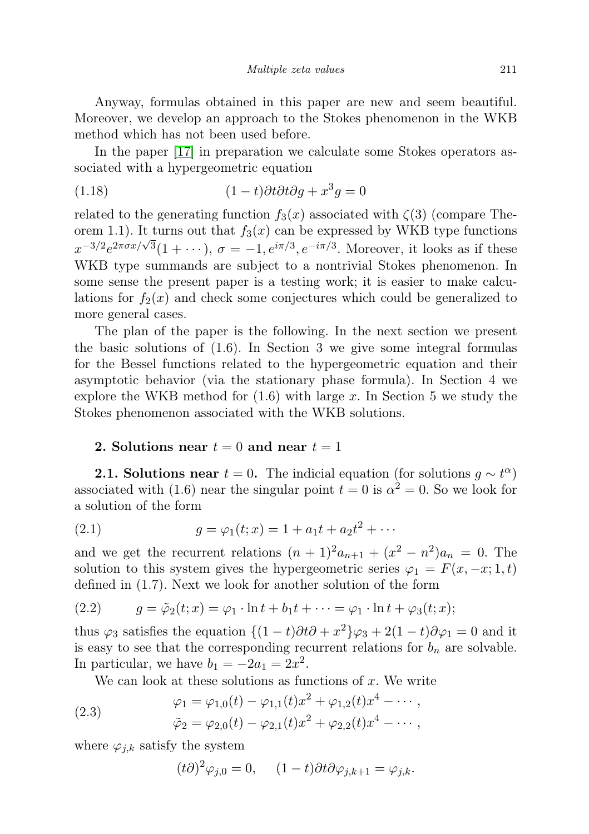Anyway, formulas obtained in this paper are new and seem beautiful. Moreover, we develop an approach to the Stokes phenomenon in the WKB method which has not been used before.

In the paper [\[17\]](#page-35-1) in preparation we calculate some Stokes operators associated with a hypergeometric equation

(1.18) 
$$
(1-t)\partial t \partial t \partial g + x^3 g = 0
$$

related to the generating function  $f_3(x)$  associated with  $\zeta(3)$  (compare Theorem 1.1). It turns out that  $f_3(x)$  can be expressed by WKB type functions  $x^{-3/2}e^{2\pi\sigma x/\sqrt{3}}(1+\cdots), \sigma = -1, e^{i\pi/3}, e^{-i\pi/3}$ . Moreover, it looks as if these WKB type summands are subject to a nontrivial Stokes phenomenon. In some sense the present paper is a testing work; it is easier to make calculations for  $f_2(x)$  and check some conjectures which could be generalized to more general cases.

The plan of the paper is the following. In the next section we present the basic solutions of (1.6). In Section 3 we give some integral formulas for the Bessel functions related to the hypergeometric equation and their asymptotic behavior (via the stationary phase formula). In Section 4 we explore the WKB method for  $(1.6)$  with large x. In Section 5 we study the Stokes phenomenon associated with the WKB solutions.

#### 2. Solutions near  $t = 0$  and near  $t = 1$

**2.1. Solutions near**  $t = 0$ . The indicial equation (for solutions  $g \sim t^{\alpha}$ ) associated with (1.6) near the singular point  $t = 0$  is  $\alpha^2 = 0$ . So we look for a solution of the form

(2.1) 
$$
g = \varphi_1(t; x) = 1 + a_1 t + a_2 t^2 + \cdots
$$

and we get the recurrent relations  $(n+1)^2 a_{n+1} + (x^2 - n^2) a_n = 0$ . The solution to this system gives the hypergeometric series  $\varphi_1 = F(x, -x; 1, t)$ defined in (1.7). Next we look for another solution of the form

(2.2) 
$$
g = \tilde{\varphi}_2(t; x) = \varphi_1 \cdot \ln t + b_1 t + \dots = \varphi_1 \cdot \ln t + \varphi_3(t; x);
$$

thus  $\varphi_3$  satisfies the equation  $\{(1-t)\partial t\partial + x^2\}\varphi_3 + 2(1-t)\partial \varphi_1 = 0$  and it is easy to see that the corresponding recurrent relations for  $b_n$  are solvable. In particular, we have  $b_1 = -2a_1 = 2x^2$ .

We can look at these solutions as functions of  $x$ . We write

(2.3) 
$$
\varphi_1 = \varphi_{1,0}(t) - \varphi_{1,1}(t)x^2 + \varphi_{1,2}(t)x^4 - \cdots ,
$$

$$
\tilde{\varphi}_2 = \varphi_{2,0}(t) - \varphi_{2,1}(t)x^2 + \varphi_{2,2}(t)x^4 - \cdots ,
$$

where  $\varphi_{j,k}$  satisfy the system

$$
(t\partial)^2 \varphi_{j,0} = 0, \quad (1-t)\partial t \partial \varphi_{j,k+1} = \varphi_{j,k}.
$$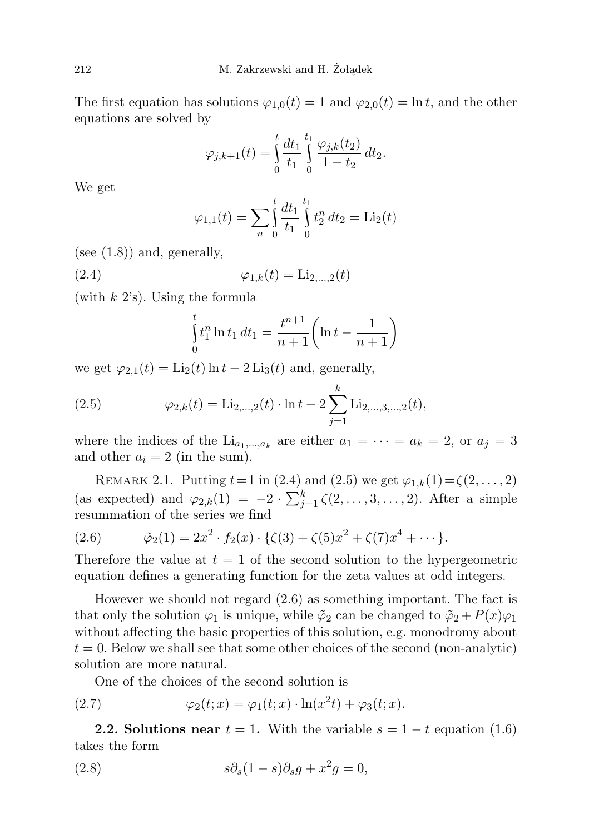The first equation has solutions  $\varphi_{1,0}(t) = 1$  and  $\varphi_{2,0}(t) = \ln t$ , and the other equations are solved by

$$
\varphi_{j,k+1}(t) = \int_0^t \frac{dt_1}{t_1} \int_0^{t_1} \frac{\varphi_{j,k}(t_2)}{1-t_2} dt_2.
$$

We get

$$
\varphi_{1,1}(t) = \sum_{n} \int_{0}^{t} \frac{dt_1}{t_1} \int_{0}^{t_1} t_2^n dt_2 = \text{Li}_2(t)
$$

(see  $(1.8)$ ) and, generally,

(2.4) 
$$
\varphi_{1,k}(t) = \text{Li}_{2,...,2}(t)
$$

(with  $k$  2's). Using the formula

$$
\int_{0}^{t} t_1^{n} \ln t_1 dt_1 = \frac{t^{n+1}}{n+1} \left( \ln t - \frac{1}{n+1} \right)
$$

we get  $\varphi_{2,1}(t) = \text{Li}_2(t) \ln t - 2 \text{Li}_3(t)$  and, generally,

(2.5) 
$$
\varphi_{2,k}(t) = \text{Li}_{2,\dots,2}(t) \cdot \ln t - 2 \sum_{j=1}^{k} \text{Li}_{2,\dots,3,\dots,2}(t),
$$

where the indices of the  $Li_{a_1,...,a_k}$  are either  $a_1 = \cdots = a_k = 2$ , or  $a_j = 3$ and other  $a_i = 2$  (in the sum).

REMARK 2.1. Putting  $t = 1$  in (2.4) and (2.5) we get  $\varphi_{1,k}(1) = \zeta(2, \ldots, 2)$ (as expected) and  $\varphi_{2,k}(1) = -2 \cdot \sum_{j=1}^{k} \zeta(2,\ldots,3,\ldots,2)$ . After a simple resummation of the series we find

(2.6) 
$$
\tilde{\varphi}_2(1) = 2x^2 \cdot f_2(x) \cdot \{\zeta(3) + \zeta(5)x^2 + \zeta(7)x^4 + \cdots\}.
$$

Therefore the value at  $t = 1$  of the second solution to the hypergeometric equation defines a generating function for the zeta values at odd integers.

However we should not regard (2.6) as something important. The fact is that only the solution  $\varphi_1$  is unique, while  $\tilde{\varphi}_2$  can be changed to  $\tilde{\varphi}_2 + P(x)\varphi_1$ without affecting the basic properties of this solution, e.g. monodromy about  $t = 0$ . Below we shall see that some other choices of the second (non-analytic) solution are more natural.

One of the choices of the second solution is

(2.7) 
$$
\varphi_2(t; x) = \varphi_1(t; x) \cdot \ln(x^2 t) + \varphi_3(t; x).
$$

**2.2. Solutions near**  $t = 1$ . With the variable  $s = 1 - t$  equation (1.6) takes the form

(2.8) 
$$
s\partial_s(1-s)\partial_sg+x^2g=0,
$$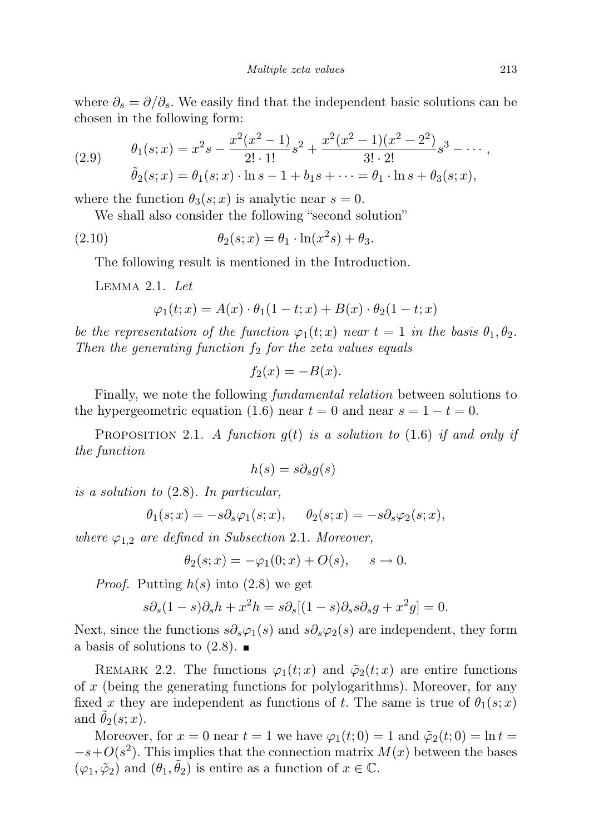where  $\partial_s = \partial/\partial_s$ . We easily find that the independent basic solutions can be chosen in the following form:

(2.9) 
$$
\theta_1(s;x) = x^2 s - \frac{x^2 (x^2 - 1)}{2! \cdot 1!} s^2 + \frac{x^2 (x^2 - 1) (x^2 - 2^2)}{3! \cdot 2!} s^3 - \cdots,
$$

$$
\tilde{\theta}_2(s;x) = \theta_1(s;x) \cdot \ln s - 1 + b_1 s + \cdots = \theta_1 \cdot \ln s + \theta_3(s;x),
$$

where the function  $\theta_3(s; x)$  is analytic near  $s = 0$ .

We shall also consider the following "second solution"

(2.10) 
$$
\theta_2(s;x) = \theta_1 \cdot \ln(x^2s) + \theta_3.
$$

The following result is mentioned in the Introduction.

Lemma 2.1. Let

$$
\varphi_1(t;x) = A(x) \cdot \theta_1(1-t;x) + B(x) \cdot \theta_2(1-t;x)
$$

be the representation of the function  $\varphi_1(t; x)$  near  $t = 1$  in the basis  $\theta_1, \theta_2$ . Then the generating function  $f_2$  for the zeta values equals

$$
f_2(x) = -B(x).
$$

Finally, we note the following fundamental relation between solutions to the hypergeometric equation (1.6) near  $t = 0$  and near  $s = 1 - t = 0$ .

PROPOSITION 2.1. A function  $g(t)$  is a solution to (1.6) if and only if the function

$$
h(s) = s \partial_s g(s)
$$

is a solution to (2.8). In particular,

$$
\theta_1(s;x)=-s\partial_s\varphi_1(s;x),\hspace{0.5cm}\theta_2(s;x)=-s\partial_s\varphi_2(s;x),
$$

where  $\varphi_{1,2}$  are defined in Subsection 2.1. Moreover,

$$
\theta_2(s; x) = -\varphi_1(0; x) + O(s), \quad s \to 0.
$$

*Proof.* Putting  $h(s)$  into (2.8) we get

$$
s\partial_s(1-s)\partial_sh + x^2h = s\partial_s[(1-s)\partial_s s\partial_sg + x^2g] = 0.
$$

Next, since the functions  $s\partial_s\varphi_1(s)$  and  $s\partial_s\varphi_2(s)$  are independent, they form a basis of solutions to  $(2.8)$ .

REMARK 2.2. The functions  $\varphi_1(t; x)$  and  $\tilde{\varphi}_2(t; x)$  are entire functions of x (being the generating functions for polylogarithms). Moreover, for any fixed x they are independent as functions of t. The same is true of  $\theta_1(s; x)$ and  $\theta_2(s; x)$ .

Moreover, for  $x = 0$  near  $t = 1$  we have  $\varphi_1(t; 0) = 1$  and  $\tilde{\varphi}_2(t; 0) = \ln t =$  $-s+O(s^2)$ . This implies that the connection matrix  $M(x)$  between the bases  $(\varphi_1, \tilde{\varphi}_2)$  and  $(\theta_1, \tilde{\theta}_2)$  is entire as a function of  $x \in \mathbb{C}$ .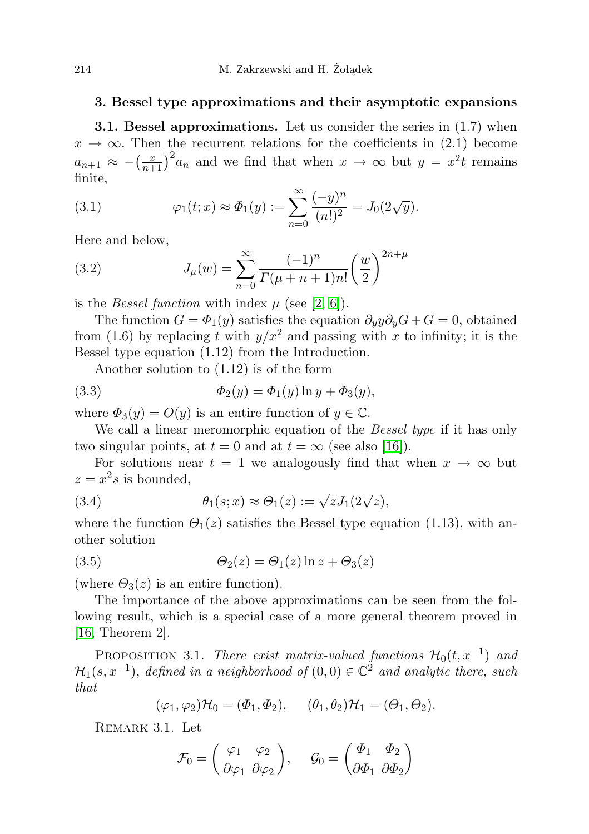### 3. Bessel type approximations and their asymptotic expansions

**3.1. Bessel approximations.** Let us consider the series in  $(1.7)$  when  $x \to \infty$ . Then the recurrent relations for the coefficients in (2.1) become  $a_{n+1} \approx -\left(\frac{x}{n+1}\right)^2 a_n$  and we find that when  $x \to \infty$  but  $y = x^2 t$  remains finite,

(3.1) 
$$
\varphi_1(t;x) \approx \Phi_1(y) := \sum_{n=0}^{\infty} \frac{(-y)^n}{(n!)^2} = J_0(2\sqrt{y}).
$$

Here and below,

(3.2) 
$$
J_{\mu}(w) = \sum_{n=0}^{\infty} \frac{(-1)^n}{\Gamma(\mu+n+1)n!} \left(\frac{w}{2}\right)^{2n+\mu}
$$

is the *Bessel function* with index  $\mu$  (see [\[2,](#page-34-6) [6\]](#page-34-7)).

The function  $G = \Phi_1(y)$  satisfies the equation  $\partial_y y \partial_y G + G = 0$ , obtained from (1.6) by replacing t with  $y/x^2$  and passing with x to infinity; it is the Bessel type equation (1.12) from the Introduction.

Another solution to (1.12) is of the form

(3.3) 
$$
\Phi_2(y) = \Phi_1(y) \ln y + \Phi_3(y),
$$

where  $\Phi_3(y) = O(y)$  is an entire function of  $y \in \mathbb{C}$ .

We call a linear meromorphic equation of the *Bessel type* if it has only two singular points, at  $t = 0$  and at  $t = \infty$  (see also [\[16\]](#page-34-4)).

For solutions near  $t = 1$  we analogously find that when  $x \to \infty$  but  $z = x^2$ s is bounded,

(3.4) 
$$
\theta_1(s;x) \approx \Theta_1(z) := \sqrt{z} J_1(2\sqrt{z}),
$$

where the function  $\Theta_1(z)$  satisfies the Bessel type equation (1.13), with another solution

(3.5) 
$$
\Theta_2(z) = \Theta_1(z) \ln z + \Theta_3(z)
$$

(where  $\Theta_3(z)$  is an entire function).

The importance of the above approximations can be seen from the following result, which is a special case of a more general theorem proved in [\[16,](#page-34-4) Theorem 2].

PROPOSITION 3.1. There exist matrix-valued functions  $\mathcal{H}_0(t, x^{-1})$  and  $\mathcal{H}_1(s,x^{-1}),$  defined in a neighborhood of  $(0,0) \in \mathbb{C}^2$  and analytic there, such that

$$
(\varphi_1, \varphi_2) \mathcal{H}_0 = (\Phi_1, \Phi_2), \quad (\theta_1, \theta_2) \mathcal{H}_1 = (\Theta_1, \Theta_2).
$$

Remark 3.1. Let

$$
\mathcal{F}_0 = \begin{pmatrix} \varphi_1 & \varphi_2 \\ \partial \varphi_1 & \partial \varphi_2 \end{pmatrix}, \quad \mathcal{G}_0 = \begin{pmatrix} \Phi_1 & \Phi_2 \\ \partial \Phi_1 & \partial \Phi_2 \end{pmatrix}
$$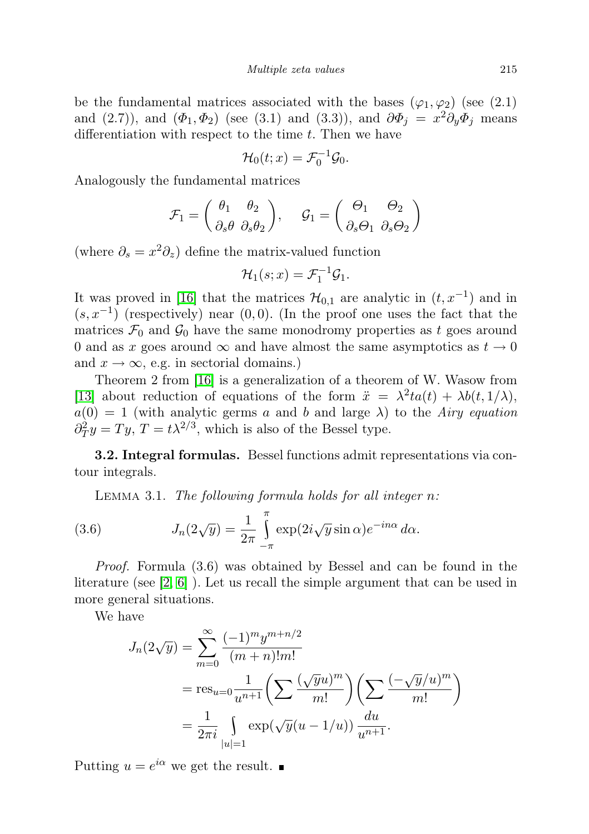be the fundamental matrices associated with the bases  $(\varphi_1, \varphi_2)$  (see (2.1) and (2.7)), and  $(\Phi_1, \Phi_2)$  (see (3.1) and (3.3)), and  $\partial \Phi_j = x^2 \partial_y \Phi_j$  means differentiation with respect to the time  $t$ . Then we have

$$
\mathcal{H}_0(t;x) = \mathcal{F}_0^{-1}\mathcal{G}_0.
$$

Analogously the fundamental matrices

$$
\mathcal{F}_1 = \begin{pmatrix} \theta_1 & \theta_2 \\ \partial_s \theta & \partial_s \theta_2 \end{pmatrix}, \quad \mathcal{G}_1 = \begin{pmatrix} \Theta_1 & \Theta_2 \\ \partial_s \Theta_1 & \partial_s \Theta_2 \end{pmatrix}
$$

(where  $\partial_s = x^2 \partial_z$ ) define the matrix-valued function

$$
\mathcal{H}_1(s; x) = \mathcal{F}_1^{-1} \mathcal{G}_1.
$$

It was proved in [\[16\]](#page-34-4) that the matrices  $\mathcal{H}_{0,1}$  are analytic in  $(t, x^{-1})$  and in  $(s, x^{-1})$  (respectively) near  $(0, 0)$ . (In the proof one uses the fact that the matrices  $\mathcal{F}_0$  and  $\mathcal{G}_0$  have the same monodromy properties as t goes around 0 and as x goes around  $\infty$  and have almost the same asymptotics as  $t \to 0$ and  $x \to \infty$ , e.g. in sectorial domains.)

Theorem 2 from [\[16\]](#page-34-4) is a generalization of a theorem of W. Wasow from [\[13\]](#page-34-5) about reduction of equations of the form  $\ddot{x} = \lambda^2 t a(t) + \lambda b(t, 1/\lambda)$ ,  $a(0) = 1$  (with analytic germs a and b and large  $\lambda$ ) to the Airy equation  $\partial_T^2 y = T y$ ,  $T = t \lambda^{2/3}$ , which is also of the Bessel type.

3.2. Integral formulas. Bessel functions admit representations via contour integrals.

LEMMA 3.1. The following formula holds for all integer  $n$ :

(3.6) 
$$
J_n(2\sqrt{y}) = \frac{1}{2\pi} \int_{-\pi}^{\pi} \exp(2i\sqrt{y}\sin \alpha) e^{-in\alpha} d\alpha.
$$

Proof. Formula (3.6) was obtained by Bessel and can be found in the literature (see [\[2,](#page-34-6) [6\]](#page-34-7) ). Let us recall the simple argument that can be used in more general situations.

We have

$$
J_n(2\sqrt{y}) = \sum_{m=0}^{\infty} \frac{(-1)^m y^{m+n/2}}{(m+n)!m!}
$$
  
= res<sub>u=0</sub>  $\frac{1}{u^{n+1}} \left( \sum \frac{(\sqrt{y}u)^m}{m!} \right) \left( \sum \frac{(-\sqrt{y}/u)^m}{m!} \right)$   
=  $\frac{1}{2\pi i} \int_{|u|=1} \exp(\sqrt{y}(u-1/u)) \frac{du}{u^{n+1}}.$ 

Putting  $u = e^{i\alpha}$  we get the result.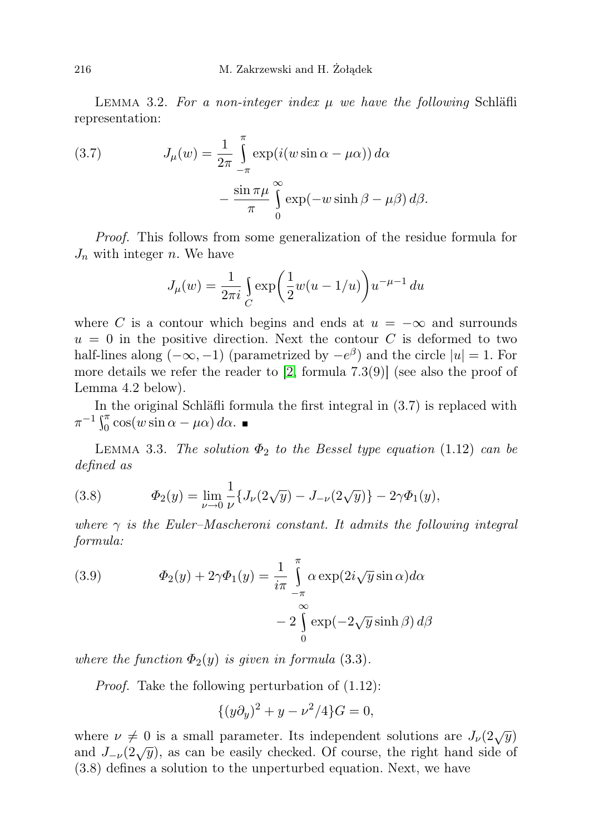LEMMA 3.2. For a non-integer index  $\mu$  we have the following Schläfli representation:

(3.7) 
$$
J_{\mu}(w) = \frac{1}{2\pi} \int_{-\pi}^{\pi} \exp(i(w \sin \alpha - \mu \alpha)) d\alpha - \frac{\sin \pi \mu}{\pi} \int_{0}^{\infty} \exp(-w \sinh \beta - \mu \beta) d\beta.
$$

Proof. This follows from some generalization of the residue formula for  $J_n$  with integer n. We have

$$
J_{\mu}(w) = \frac{1}{2\pi i} \int_{C} \exp\left(\frac{1}{2}w(u - 1/u)\right) u^{-\mu - 1} du
$$

where C is a contour which begins and ends at  $u = -\infty$  and surrounds  $u = 0$  in the positive direction. Next the contour C is deformed to two half-lines along  $(-\infty, -1)$  (parametrized by  $-e^{\beta}$ ) and the circle  $|u|=1$ . For more details we refer the reader to [\[2,](#page-34-6) formula 7.3(9)] (see also the proof of Lemma 4.2 below).

In the original Schläfli formula the first integral in (3.7) is replaced with  $\pi^{-1} \int_0^{\pi} \cos(w \sin \alpha - \mu \alpha) d\alpha.$ 

LEMMA 3.3. The solution  $\Phi_2$  to the Bessel type equation (1.12) can be defined as

(3.8) 
$$
\Phi_2(y) = \lim_{\nu \to 0} \frac{1}{\nu} \{ J_\nu(2\sqrt{y}) - J_{-\nu}(2\sqrt{y}) \} - 2\gamma \Phi_1(y),
$$

where  $\gamma$  is the Euler–Mascheroni constant. It admits the following integral formula:

(3.9) 
$$
\Phi_2(y) + 2\gamma \Phi_1(y) = \frac{1}{i\pi} \int_{-\pi}^{\pi} \alpha \exp(2i\sqrt{y}\sin \alpha) d\alpha \n- 2 \int_{0}^{\infty} \exp(-2\sqrt{y}\sinh \beta) d\beta
$$

where the function  $\Phi_2(y)$  is given in formula (3.3).

Proof. Take the following perturbation of (1.12):

$$
\{(y\partial_y)^2 + y - \nu^2/4\}G = 0,
$$

where  $\nu \neq 0$  is a small parameter. Its independent solutions are  $J_{\nu}(2\sqrt{y})$ and  $J_{-\nu}(2\sqrt{y})$ , as can be easily checked. Of course, the right hand side of (3.8) defines a solution to the unperturbed equation. Next, we have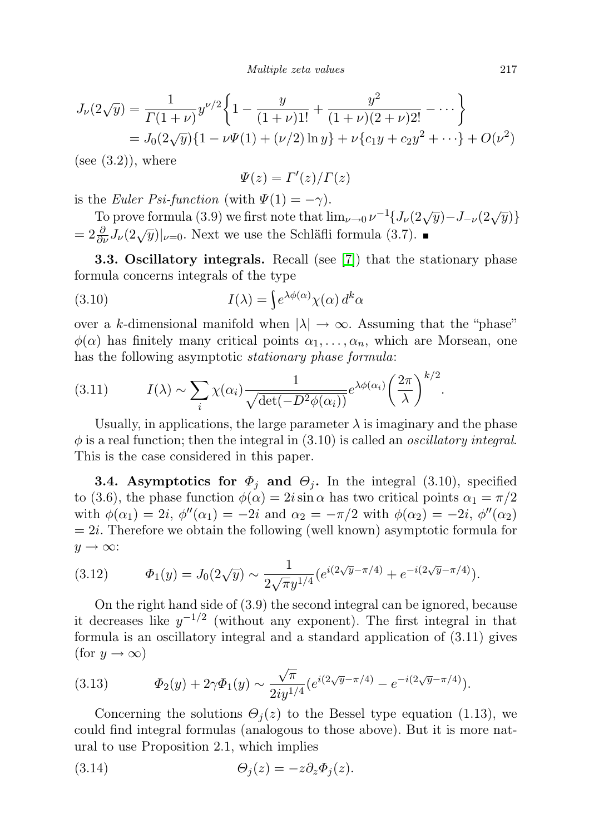$$
J_{\nu}(2\sqrt{y}) = \frac{1}{\Gamma(1+\nu)} y^{\nu/2} \left\{ 1 - \frac{y}{(1+\nu)1!} + \frac{y^2}{(1+\nu)(2+\nu)2!} - \cdots \right\}
$$
  
=  $J_0(2\sqrt{y}) \{ 1 - \nu\Psi(1) + (\nu/2) \ln y \} + \nu \{ c_1 y + c_2 y^2 + \cdots \} + O(\nu^2)$ 

 $(see (3.2))$ , where

$$
\varPsi(z)=\varGamma'(z)/\varGamma(z)
$$

is the Euler Psi-function (with  $\Psi(1) = -\gamma$ ).

To prove formula (3.9) we first note that  $\lim_{\nu\to 0} \nu^{-1}\left\{J_{\nu}(2\sqrt{y})-J_{-\nu}(2\sqrt{y})\right\}$ =  $2 \frac{\partial}{\partial \nu} J_{\nu}(2\sqrt{y})|_{\nu=0}$ . Next we use the Schläfli formula (3.7).

**3.3. Oscillatory integrals.** Recall (see [\[7\]](#page-34-8)) that the stationary phase formula concerns integrals of the type

(3.10) 
$$
I(\lambda) = \int e^{\lambda \phi(\alpha)} \chi(\alpha) d^k \alpha
$$

over a k-dimensional manifold when  $|\lambda| \to \infty$ . Assuming that the "phase"  $\phi(\alpha)$  has finitely many critical points  $\alpha_1, \ldots, \alpha_n$ , which are Morsean, one has the following asymptotic *stationary phase formula*:

(3.11) 
$$
I(\lambda) \sim \sum_{i} \chi(\alpha_i) \frac{1}{\sqrt{\det(-D^2 \phi(\alpha_i))}} e^{\lambda \phi(\alpha_i)} \left(\frac{2\pi}{\lambda}\right)^{k/2}.
$$

Usually, in applications, the large parameter  $\lambda$  is imaginary and the phase  $\phi$  is a real function; then the integral in (3.10) is called an *oscillatory integral*. This is the case considered in this paper.

**3.4.** Asymptotics for  $\Phi_j$  and  $\Theta_j$ . In the integral (3.10), specified to (3.6), the phase function  $\phi(\alpha) = 2i \sin \alpha$  has two critical points  $\alpha_1 = \pi/2$ with  $\phi(\alpha_1) = 2i$ ,  $\phi''(\alpha_1) = -2i$  and  $\alpha_2 = -\pi/2$  with  $\phi(\alpha_2) = -2i$ ,  $\phi''(\alpha_2)$  $= 2i$ . Therefore we obtain the following (well known) asymptotic formula for  $y \rightarrow \infty$ :

(3.12) 
$$
\Phi_1(y) = J_0(2\sqrt{y}) \sim \frac{1}{2\sqrt{\pi}y^{1/4}} \left(e^{i(2\sqrt{y}-\pi/4)} + e^{-i(2\sqrt{y}-\pi/4)}\right).
$$

On the right hand side of (3.9) the second integral can be ignored, because it decreases like  $y^{-1/2}$  (without any exponent). The first integral in that formula is an oscillatory integral and a standard application of (3.11) gives (for  $y \to \infty$ )

(3.13) 
$$
\Phi_2(y) + 2\gamma \Phi_1(y) \sim \frac{\sqrt{\pi}}{2iy^{1/4}} (e^{i(2\sqrt{y}-\pi/4)} - e^{-i(2\sqrt{y}-\pi/4)}).
$$

Concerning the solutions  $\Theta_i(z)$  to the Bessel type equation (1.13), we could find integral formulas (analogous to those above). But it is more natural to use Proposition 2.1, which implies

(3.14) 
$$
\Theta_j(z) = -z \partial_z \Phi_j(z).
$$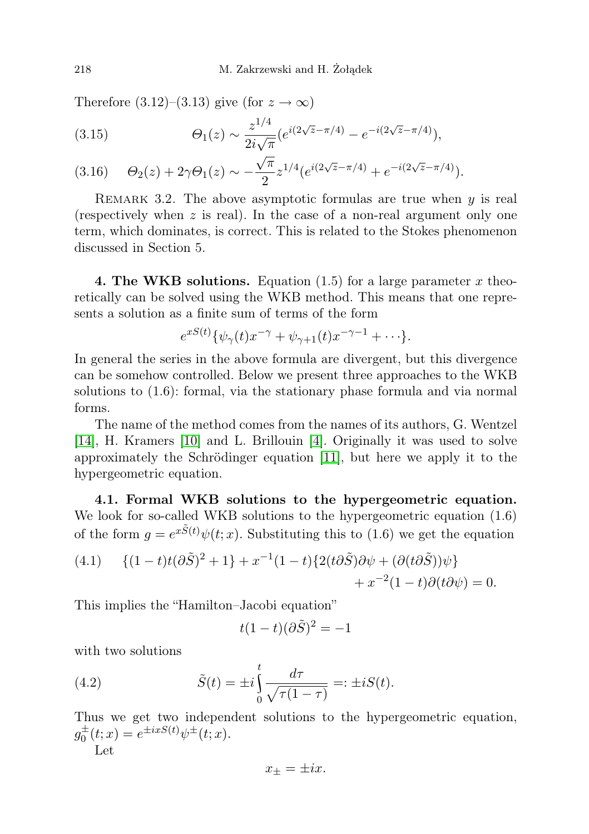Therefore  $(3.12)$ – $(3.13)$  give (for  $z \to \infty$ )

(3.15) 
$$
\Theta_1(z) \sim \frac{z^{1/4}}{2i\sqrt{\pi}} \left(e^{i(2\sqrt{z}-\pi/4)} - e^{-i(2\sqrt{z}-\pi/4)}\right),
$$

$$
(3.16) \qquad \Theta_2(z) + 2\gamma \Theta_1(z) \sim -\frac{\sqrt{\pi}}{2} z^{1/4} (e^{i(2\sqrt{z} - \pi/4)} + e^{-i(2\sqrt{z} - \pi/4)}).
$$

REMARK 3.2. The above asymptotic formulas are true when  $y$  is real (respectively when  $z$  is real). In the case of a non-real argument only one term, which dominates, is correct. This is related to the Stokes phenomenon discussed in Section 5.

4. The WKB solutions. Equation (1.5) for a large parameter x theoretically can be solved using the WKB method. This means that one represents a solution as a finite sum of terms of the form

$$
e^{xS(t)}\{\psi_\gamma(t)x^{-\gamma}+\psi_{\gamma+1}(t)x^{-\gamma-1}+\cdots\}.
$$

In general the series in the above formula are divergent, but this divergence can be somehow controlled. Below we present three approaches to the WKB solutions to (1.6): formal, via the stationary phase formula and via normal forms.

The name of the method comes from the names of its authors, G. Wentzel [\[14\]](#page-34-9), H. Kramers [\[10\]](#page-34-10) and L. Brillouin [\[4\]](#page-34-11). Originally it was used to solve approximately the Schrödinger equation [\[11\]](#page-34-12), but here we apply it to the hypergeometric equation.

4.1. Formal WKB solutions to the hypergeometric equation. We look for so-called WKB solutions to the hypergeometric equation (1.6) of the form  $g = e^{x\tilde{S}(t)}\psi(t; x)$ . Substituting this to (1.6) we get the equation

(4.1) 
$$
\{(1-t)t(\partial \tilde{S})^2 + 1\} + x^{-1}(1-t)\{2(t\partial \tilde{S})\partial \psi + (\partial (t\partial \tilde{S}))\psi\} + x^{-2}(1-t)\partial (t\partial \psi) = 0.
$$

This implies the "Hamilton–Jacobi equation"

$$
t(1-t)(\partial \tilde{S})^2 = -1
$$

with two solutions

(4.2) 
$$
\tilde{S}(t) = \pm i \int_{0}^{t} \frac{d\tau}{\sqrt{\tau(1-\tau)}} =: \pm i S(t).
$$

Thus we get two independent solutions to the hypergeometric equation,  $g_0^{\pm}(t; x) = e^{\pm i x S(t)} \psi^{\pm}(t; x).$ 

Let

$$
x_{\pm}=\pm ix.
$$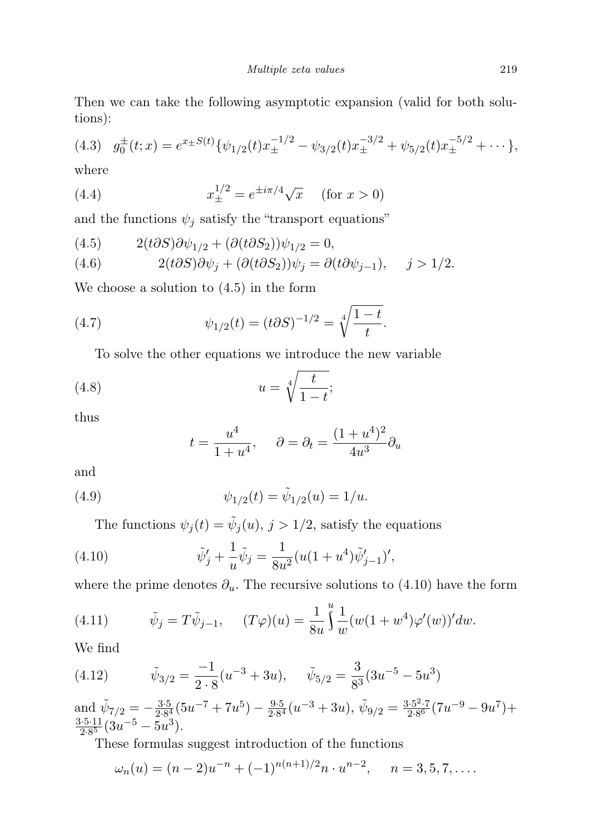Then we can take the following asymptotic expansion (valid for both solutions):

$$
(4.3) \quad g_0^{\pm}(t;x) = e^{x \pm S(t)} \{ \psi_{1/2}(t) x_{\pm}^{-1/2} - \psi_{3/2}(t) x_{\pm}^{-3/2} + \psi_{5/2}(t) x_{\pm}^{-5/2} + \cdots \},
$$

where

(4.4) 
$$
x_{\pm}^{1/2} = e^{\pm i\pi/4} \sqrt{x} \quad (\text{for } x > 0)
$$

and the functions  $\psi_j$  satisfy the "transport equations"

(4.5) 
$$
2(t\partial S)\partial \psi_{1/2} + (\partial (t\partial S_2))\psi_{1/2} = 0,
$$

(4.6) 
$$
2(t\partial S)\partial \psi_j + (\partial(t\partial S_2))\psi_j = \partial(t\partial \psi_{j-1}), \quad j > 1/2.
$$

We choose a solution to (4.5) in the form

(4.7) 
$$
\psi_{1/2}(t) = (t \partial S)^{-1/2} = \sqrt[4]{\frac{1-t}{t}}.
$$

To solve the other equations we introduce the new variable

$$
(4.8)\qquad \qquad u = \sqrt[4]{\frac{t}{1-t}};
$$

thus

$$
t = \frac{u^4}{1 + u^4}
$$
,  $\partial = \partial_t = \frac{(1 + u^4)^2}{4u^3} \partial_u$ 

and

(4.9) 
$$
\psi_{1/2}(t) = \tilde{\psi}_{1/2}(u) = 1/u.
$$

The functions  $\psi_j(t) = \tilde{\psi}_j(u), j > 1/2$ , satisfy the equations

(4.10) 
$$
\tilde{\psi}'_j + \frac{1}{u}\tilde{\psi}_j = \frac{1}{8u^2}(u(1+u^4)\tilde{\psi}'_{j-1})',
$$

where the prime denotes  $\partial_u$ . The recursive solutions to (4.10) have the form

(4.11) 
$$
\tilde{\psi}_j = T\tilde{\psi}_{j-1}, \quad (T\varphi)(u) = \frac{1}{8u} \int_0^u \frac{1}{w} (w(1+w^4)\varphi'(w))' dw.
$$

We find

(4.12) 
$$
\tilde{\psi}_{3/2} = \frac{-1}{2 \cdot 8} (u^{-3} + 3u), \quad \tilde{\psi}_{5/2} = \frac{3}{8^3} (3u^{-5} - 5u^3)
$$

and  $\tilde{\psi}_{7/2} = -\frac{3.5}{2.84}$  $\frac{3\cdot 5}{2\cdot 8^4} (5u^{-7} + 7u^5) - \frac{9\cdot 5}{2\cdot 8^4}$  $\frac{9.5}{2.8^4}(u^{-3}+3u), \tilde{\psi}_{9/2} = \frac{3.5^2.7}{2.8^6}$  $\frac{3.5^2 \cdot 7}{2.8^6} (7u^{-9} - 9u^7) +$  $3.5.11$  $\frac{3.5 \cdot 11}{2.8^5} (3u^{-5} - 5u^3).$ 

These formulas suggest introduction of the functions

$$
\omega_n(u) = (n-2)u^{-n} + (-1)^{n(n+1)/2}n \cdot u^{n-2}, \quad n = 3, 5, 7, \dots.
$$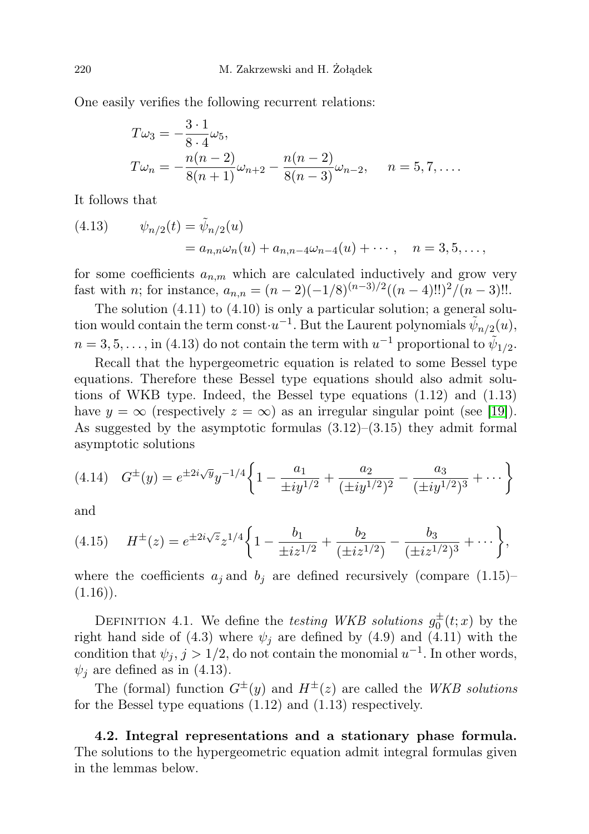One easily verifies the following recurrent relations:

$$
T\omega_3 = -\frac{3 \cdot 1}{8 \cdot 4} \omega_5,
$$
  
\n
$$
T\omega_n = -\frac{n(n-2)}{8(n+1)} \omega_{n+2} - \frac{n(n-2)}{8(n-3)} \omega_{n-2}, \quad n = 5, 7, ....
$$

It follows that

(4.13) 
$$
\psi_{n/2}(t) = \tilde{\psi}_{n/2}(u)
$$

$$
= a_{n,n}\omega_n(u) + a_{n,n-4}\omega_{n-4}(u) + \cdots, \quad n = 3, 5, \dots,
$$

for some coefficients  $a_{n,m}$  which are calculated inductively and grow very fast with *n*; for instance,  $a_{n,n} = (n-2)(-1/8)^{(n-3)/2}((n-4)!!)^2/(n-3)!!$ .

The solution  $(4.11)$  to  $(4.10)$  is only a particular solution; a general solution would contain the term const $u^{-1}$ . But the Laurent polynomials  $\tilde{\psi}_{n/2}(u)$ ,  $n = 3, 5, \ldots$ , in (4.13) do not contain the term with  $u^{-1}$  proportional to  $\tilde{\psi}_{1/2}$ .

Recall that the hypergeometric equation is related to some Bessel type equations. Therefore these Bessel type equations should also admit solutions of WKB type. Indeed, the Bessel type equations (1.12) and (1.13) have  $y = \infty$  (respectively  $z = \infty$ ) as an irregular singular point (see [\[19\]](#page-35-2)). As suggested by the asymptotic formulas  $(3.12)$ – $(3.15)$  they admit formal asymptotic solutions

$$
(4.14) \quad G^{\pm}(y) = e^{\pm 2i\sqrt{y}} y^{-1/4} \left\{ 1 - \frac{a_1}{\pm iy^{1/2}} + \frac{a_2}{(\pm iy^{1/2})^2} - \frac{a_3}{(\pm iy^{1/2})^3} + \cdots \right\}
$$

and

$$
(4.15) \tH^{\pm}(z) = e^{\pm 2i\sqrt{z}} z^{1/4} \left\{ 1 - \frac{b_1}{\pm iz^{1/2}} + \frac{b_2}{(\pm iz^{1/2})} - \frac{b_3}{(\pm iz^{1/2})^3} + \cdots \right\},\,
$$

where the coefficients  $a_j$  and  $b_j$  are defined recursively (compare (1.15)–  $(1.16)$ .

DEFINITION 4.1. We define the *testing WKB solutions*  $g_0^{\pm}(t; x)$  by the right hand side of (4.3) where  $\psi_j$  are defined by (4.9) and (4.11) with the condition that  $\psi_j$ ,  $j > 1/2$ , do not contain the monomial  $u^{-1}$ . In other words,  $\psi_i$  are defined as in (4.13).

The (formal) function  $G^{\pm}(y)$  and  $H^{\pm}(z)$  are called the WKB solutions for the Bessel type equations (1.12) and (1.13) respectively.

4.2. Integral representations and a stationary phase formula. The solutions to the hypergeometric equation admit integral formulas given in the lemmas below.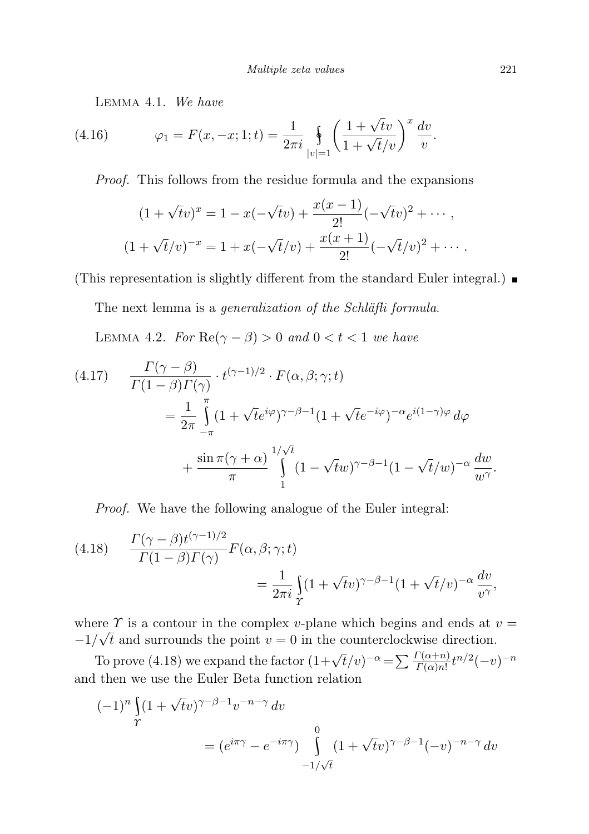Lemma 4.1. We have

(4.16) 
$$
\varphi_1 = F(x, -x; 1; t) = \frac{1}{2\pi i} \oint_{|v|=1} \left( \frac{1 + \sqrt{t}v}{1 + \sqrt{t}/v} \right)^x \frac{dv}{v}.
$$

Proof. This follows from the residue formula and the expansions

$$
(1 + \sqrt{t}v)^x = 1 - x(-\sqrt{t}v) + \frac{x(x-1)}{2!}(-\sqrt{t}v)^2 + \cdots,
$$
  

$$
(1 + \sqrt{t}/v)^{-x} = 1 + x(-\sqrt{t}/v) + \frac{x(x+1)}{2!}(-\sqrt{t}/v)^2 + \cdots.
$$

(This representation is slightly different from the standard Euler integral.)

The next lemma is a *generalization of the Schläfli formula*.

LEMMA 4.2. For  $\text{Re}(\gamma - \beta) > 0$  and  $0 < t < 1$  we have

(4.17) 
$$
\frac{\Gamma(\gamma - \beta)}{\Gamma(1 - \beta)\Gamma(\gamma)} \cdot t^{(\gamma - 1)/2} \cdot F(\alpha, \beta; \gamma; t)
$$
  

$$
= \frac{1}{2\pi} \int_{-\pi}^{\pi} (1 + \sqrt{t}e^{i\varphi})^{\gamma - \beta - 1} (1 + \sqrt{t}e^{-i\varphi})^{-\alpha} e^{i(1 - \gamma)\varphi} d\varphi
$$
  

$$
+ \frac{\sin \pi(\gamma + \alpha)}{\pi} \int_{1}^{1/\sqrt{t}} (1 - \sqrt{t}w)^{\gamma - \beta - 1} (1 - \sqrt{t}/w)^{-\alpha} \frac{dw}{w^{\gamma}}.
$$

Proof. We have the following analogue of the Euler integral:

(4.18) 
$$
\frac{\Gamma(\gamma - \beta)t^{(\gamma - 1)/2}}{\Gamma(1 - \beta)\Gamma(\gamma)}F(\alpha, \beta; \gamma; t)
$$

$$
= \frac{1}{2\pi i} \int_{\gamma} (1 + \sqrt{t}v)^{\gamma - \beta - 1} (1 + \sqrt{t}/v)^{-\alpha} \frac{dv}{v^{\gamma}},
$$

where  $\Upsilon$  is a contour in the complex v-plane which begins and ends at  $v =$  $-1/\sqrt{t}$  and surrounds the point  $v = 0$  in the counterclockwise direction.

To prove (4.18) we expand the factor  $(1+\sqrt{t}/v)^{-\alpha} = \sum_{r} \frac{\Gamma(\alpha+n)}{\Gamma(\alpha)n!} t^{n/2}(-v)^{-n}$ and then we use the Euler Beta function relation

$$
(-1)^n \int_{\Upsilon} (1 + \sqrt{t}v)^{\gamma - \beta - 1} v^{-n - \gamma} dv
$$
  
= 
$$
(e^{i\pi\gamma} - e^{-i\pi\gamma}) \int_{-1/\sqrt{t}}^{0} (1 + \sqrt{t}v)^{\gamma - \beta - 1} (-v)^{-n - \gamma} dv
$$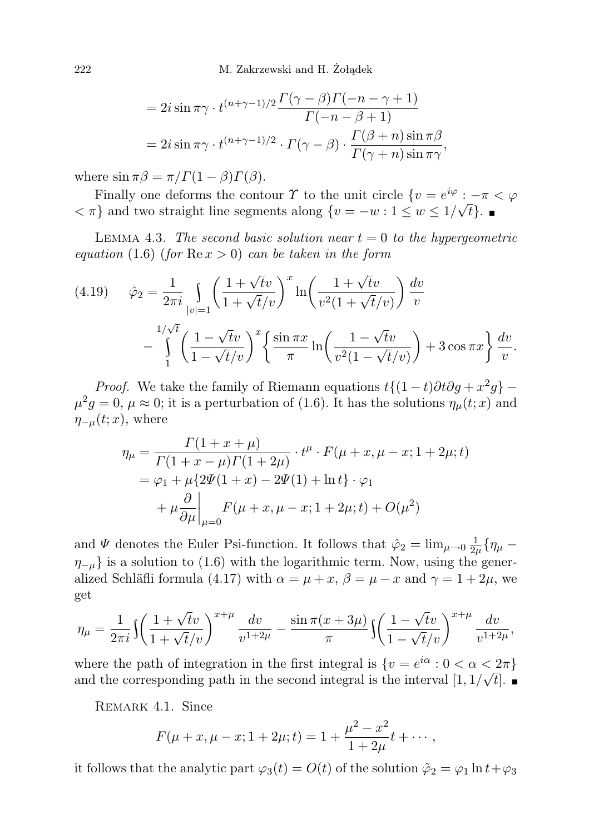$$
= 2i \sin \pi \gamma \cdot t^{(n+\gamma-1)/2} \frac{\Gamma(\gamma-\beta)\Gamma(-n-\gamma+1)}{\Gamma(-n-\beta+1)}
$$
  
=  $2i \sin \pi \gamma \cdot t^{(n+\gamma-1)/2} \cdot \Gamma(\gamma-\beta) \cdot \frac{\Gamma(\beta+n) \sin \pi \beta}{\Gamma(\gamma+n) \sin \pi \gamma}$ ,

where  $\sin \pi \beta = \pi / \Gamma(1 - \beta) \Gamma(\beta)$ .

Finally one deforms the contour  $\Upsilon$  to the unit circle  $\{v = e^{i\varphi} : -\pi < \varphi\}$  $\langle \pi \rangle$  and two straight line segments along  $\{v = -w : 1 \le w \le 1/\sqrt{t}\}.$ 

LEMMA 4.3. The second basic solution near  $t = 0$  to the hypergeometric equation (1.6) (for  $\text{Re}\,x > 0$ ) can be taken in the form

(4.19) 
$$
\hat{\varphi}_2 = \frac{1}{2\pi i} \int_{|v|=1} \left( \frac{1+\sqrt{t}v}{1+\sqrt{t}/v} \right)^x \ln\left(\frac{1+\sqrt{t}v}{v^2(1+\sqrt{t}/v)}\right) \frac{dv}{v} - \int_{1}^{1/\sqrt{t}} \left( \frac{1-\sqrt{t}v}{1-\sqrt{t}/v} \right)^x \left\{ \frac{\sin \pi x}{\pi} \ln\left(\frac{1-\sqrt{t}v}{v^2(1-\sqrt{t}/v)}\right) + 3\cos \pi x \right\} \frac{dv}{v}.
$$

*Proof.* We take the family of Riemann equations  $t\{(1-t)\partial t\partial g + x^2g\}$  –  $\mu^2 g = 0$ ,  $\mu \approx 0$ ; it is a perturbation of (1.6). It has the solutions  $\eta_{\mu}(t; x)$  and  $\eta_{-\mu}(t; x)$ , where

$$
\eta_{\mu} = \frac{\Gamma(1+x+\mu)}{\Gamma(1+x-\mu)\Gamma(1+2\mu)} \cdot t^{\mu} \cdot F(\mu+x, \mu-x; 1+2\mu; t) \n= \varphi_1 + \mu \{2\Psi(1+x) - 2\Psi(1) + \ln t\} \cdot \varphi_1 \n+ \mu \frac{\partial}{\partial \mu} \bigg|_{\mu=0} F(\mu+x, \mu-x; 1+2\mu; t) + O(\mu^2)
$$

and  $\Psi$  denotes the Euler Psi-function. It follows that  $\hat{\varphi}_2 = \lim_{\mu \to 0} \frac{1}{2a}$  $\frac{1}{2\mu }\{\eta _{\mu } \eta_{-\mu}$ } is a solution to (1.6) with the logarithmic term. Now, using the generalized Schläfli formula (4.17) with  $\alpha = \mu + x$ ,  $\beta = \mu - x$  and  $\gamma = 1 + 2\mu$ , we get

$$
\eta_{\mu} = \frac{1}{2\pi i} \int \left( \frac{1 + \sqrt{t}v}{1 + \sqrt{t}/v} \right)^{x+\mu} \frac{dv}{v^{1+2\mu}} - \frac{\sin \pi (x+3\mu)}{\pi} \int \left( \frac{1 - \sqrt{t}v}{1 - \sqrt{t}/v} \right)^{x+\mu} \frac{dv}{v^{1+2\mu}},
$$

where the path of integration in the first integral is  $\{v = e^{i\alpha} : 0 < \alpha < 2\pi\}$ and the corresponding path in the second integral is the interval  $[1, 1/\sqrt{t}]$ .

REMARK 4.1. Since

$$
F(\mu + x, \mu - x; 1 + 2\mu; t) = 1 + \frac{\mu^2 - x^2}{1 + 2\mu}t + \cdots,
$$

it follows that the analytic part  $\varphi_3(t) = O(t)$  of the solution  $\tilde{\varphi}_2 = \varphi_1 \ln t + \varphi_3$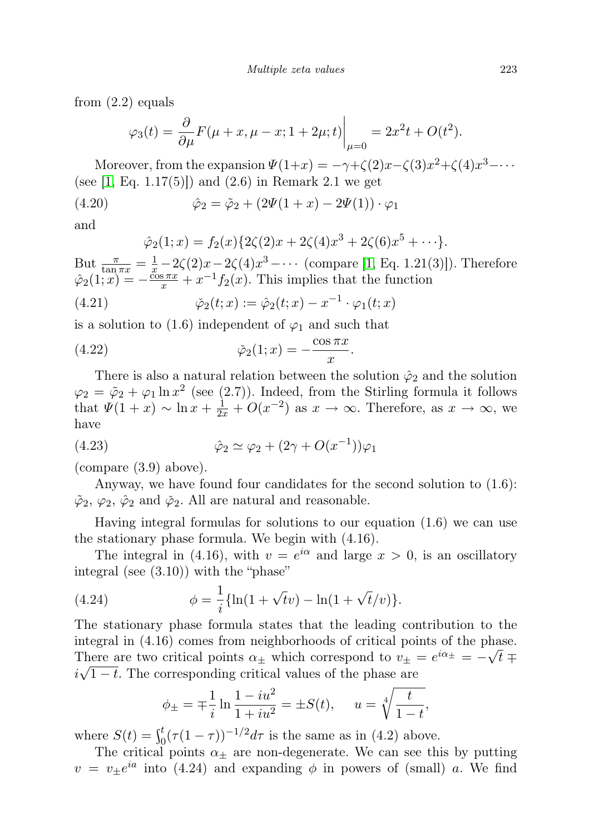from (2.2) equals

$$
\varphi_3(t) = \frac{\partial}{\partial \mu} F(\mu + x, \mu - x; 1 + 2\mu; t) \bigg|_{\mu=0} = 2x^2 t + O(t^2).
$$

Moreover, from the expansion  $\Psi(1+x) = -\gamma + \zeta(2)x - \zeta(3)x^2 + \zeta(4)x^3 - \cdots$ (see  $[1, Eq. 1.17(5)]$  $[1, Eq. 1.17(5)]$ ) and  $(2.6)$  in Remark 2.1 we get

(4.20) 
$$
\hat{\varphi}_2 = \tilde{\varphi}_2 + (2\Psi(1+x) - 2\Psi(1)) \cdot \varphi_1
$$

and

$$
\hat{\varphi}_2(1;x) = f_2(x)\{2\zeta(2)x + 2\zeta(4)x^3 + 2\zeta(6)x^5 + \cdots\}.
$$

But  $\frac{\pi}{\tan \pi x} = \frac{1}{x} - 2\zeta(2)x - 2\zeta(4)x^3 - \cdots$  (compare [\[1,](#page-34-1) Eq. 1.21(3)]). Therefore  $\hat{\varphi}_2(1; x) = -\frac{\cos \pi x}{x} + x^{-1}f_2(x)$ . This implies that the function

(4.21) 
$$
\check{\varphi}_2(t;x) := \hat{\varphi}_2(t;x) - x^{-1} \cdot \varphi_1(t;x)
$$

is a solution to (1.6) independent of  $\varphi_1$  and such that

(4.22) 
$$
\check{\varphi}_2(1;x) = -\frac{\cos \pi x}{x}.
$$

There is also a natural relation between the solution  $\hat{\varphi}_2$  and the solution  $\varphi_2 = \tilde{\varphi}_2 + \varphi_1 \ln x^2$  (see (2.7)). Indeed, from the Stirling formula it follows that  $\Psi(1+x) \sim \ln x + \frac{1}{2x} + O(x^{-2})$  as  $x \to \infty$ . Therefore, as  $x \to \infty$ , we have

(4.23) 
$$
\hat{\varphi}_2 \simeq \varphi_2 + (2\gamma + O(x^{-1}))\varphi_1
$$

(compare (3.9) above).

Anyway, we have found four candidates for the second solution to (1.6):  $\tilde{\varphi}_2$ ,  $\varphi_2$ ,  $\hat{\varphi}_2$  and  $\tilde{\varphi}_2$ . All are natural and reasonable.

Having integral formulas for solutions to our equation (1.6) we can use the stationary phase formula. We begin with (4.16).

The integral in (4.16), with  $v = e^{i\alpha}$  and large  $x > 0$ , is an oscillatory integral (see (3.10)) with the "phase"

(4.24) 
$$
\phi = \frac{1}{i} \{ \ln(1 + \sqrt{t}v) - \ln(1 + \sqrt{t}/v) \}.
$$

The stationary phase formula states that the leading contribution to the integral in  $(4.16)$  comes from neighborhoods of critical points of the phase. There are two critical points  $\alpha_{\pm}$  which correspond to  $v_{\pm} = e^{i\alpha_{\pm}} = -\sqrt{t} \mp i\sqrt{t}$  $i\sqrt{1-t}$ . The corresponding critical values of the phase are

$$
\phi_{\pm} = \mp \frac{1}{i} \ln \frac{1 - iu^2}{1 + iu^2} = \pm S(t), \quad u = \sqrt[4]{\frac{t}{1 - t}},
$$

where  $S(t) = \int_0^t (\tau (1 - \tau))^{-1/2} d\tau$  is the same as in (4.2) above.

The critical points  $\alpha_+$  are non-degenerate. We can see this by putting  $v = v_{\pm}e^{ia}$  into (4.24) and expanding  $\phi$  in powers of (small) a. We find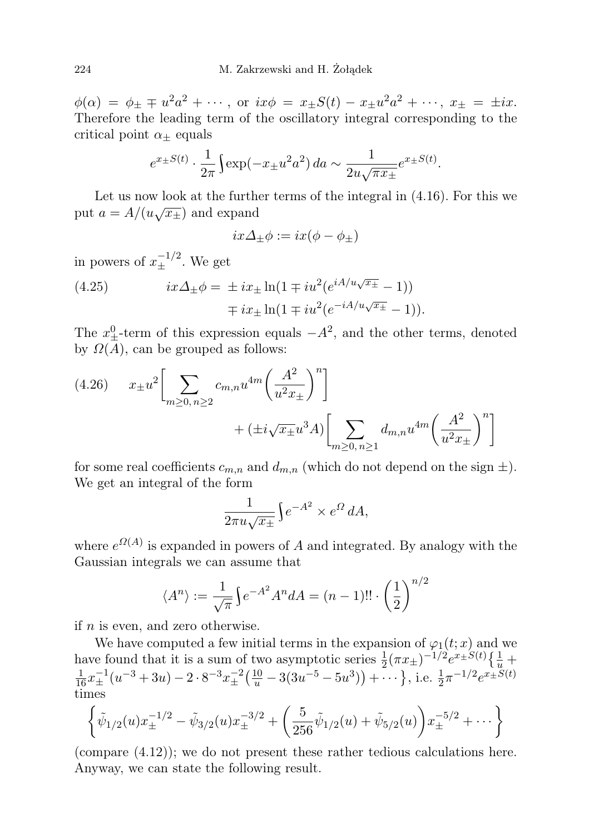$\phi(\alpha) = \phi_{\pm} \mp u^2 a^2 + \cdots$ , or  $ix\phi = x_{\pm} S(t) - x_{\pm} u^2 a^2 + \cdots$ ,  $x_{\pm} = \pm ix$ . Therefore the leading term of the oscillatory integral corresponding to the critical point  $\alpha_{\pm}$  equals

$$
e^{x \pm S(t)} \cdot \frac{1}{2\pi} \int \exp(-x \pm u^2 a^2) da \sim \frac{1}{2u\sqrt{\pi x \pm}} e^{x \pm S(t)}.
$$

Let us now look at the further terms of the integral in (4.16). For this we put  $a = A/(u\sqrt{x_{\pm}})$  and expand

$$
ix\Delta_{\pm}\phi := ix(\phi - \phi_{\pm})
$$

in powers of  $x_{\pm}^{-1/2}$ . We get

(4.25) 
$$
ix\Delta_{\pm}\phi = \pm ix_{\pm}\ln(1 \mp i u^{2}(e^{iA/u\sqrt{x_{\pm}}} - 1)) \mp ix_{\pm}\ln(1 \mp i u^{2}(e^{-iA/u\sqrt{x_{\pm}}} - 1)).
$$

The  $x_{\pm}^0$ -term of this expression equals  $-A^2$ , and the other terms, denoted by  $\Omega(A)$ , can be grouped as follows:

(4.26) 
$$
x_{\pm}u^2 \left[ \sum_{m \ge 0, n \ge 2} c_{m,n} u^{4m} \left( \frac{A^2}{u^2 x_{\pm}} \right)^n \right] + (\pm i \sqrt{x_{\pm}} u^3 A) \left[ \sum_{m \ge 0, n \ge 1} d_{m,n} u^{4m} \left( \frac{A^2}{u^2 x_{\pm}} \right)^n \right]
$$

for some real coefficients  $c_{m,n}$  and  $d_{m,n}$  (which do not depend on the sign  $\pm$ ). We get an integral of the form

$$
\frac{1}{2\pi u\sqrt{x_{\pm}}} \int e^{-A^2} \times e^{\Omega} dA,
$$

where  $e^{\Omega(A)}$  is expanded in powers of A and integrated. By analogy with the Gaussian integrals we can assume that

$$
\langle A^n \rangle := \frac{1}{\sqrt{\pi}} \Big\{ e^{-A^2} A^n dA = (n-1)!! \cdot \left(\frac{1}{2}\right)^{n/2}
$$

if  $n$  is even, and zero otherwise.

We have computed a few initial terms in the expansion of  $\varphi_1(t; x)$  and we have found that it is a sum of two asymptotic series  $\frac{1}{2}(\pi x_{\pm})^{-1/2}e^{x_{\pm}S(t)}\left\{\frac{1}{u}+\frac{1}{16}x_{\pm}^{-1}(u^{-3}+3u)-2\cdot8^{-3}x_{\pm}^{-2}(\frac{10}{u}-3(3u^{-5}-5u^{3}))+\cdots\right\}$ , i.e.  $\frac{1}{2}\pi^{-1/2}e^{x_{\pm}S(t)}$ times

$$
\left\{\tilde{\psi}_{1/2}(u)x_{\pm}^{-1/2} - \tilde{\psi}_{3/2}(u)x_{\pm}^{-3/2} + \left(\frac{5}{256}\tilde{\psi}_{1/2}(u) + \tilde{\psi}_{5/2}(u)\right)x_{\pm}^{-5/2} + \cdots\right\}
$$

(compare (4.12)); we do not present these rather tedious calculations here. Anyway, we can state the following result.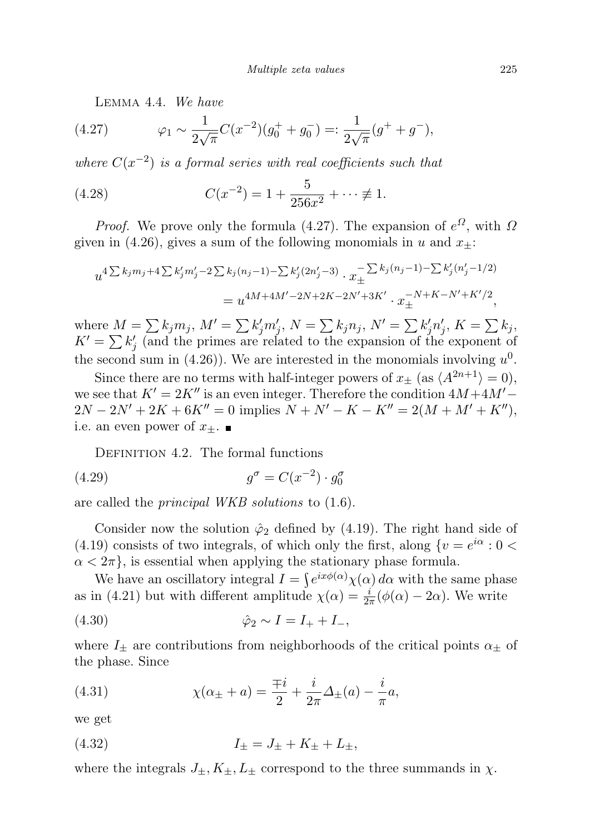Lemma 4.4. We have

(4.27) 
$$
\varphi_1 \sim \frac{1}{2\sqrt{\pi}} C(x^{-2}) (g_0^+ + g_0^-) =: \frac{1}{2\sqrt{\pi}} (g^+ + g^-),
$$

where  $C(x^{-2})$  is a formal series with real coefficients such that

(4.28) 
$$
C(x^{-2}) = 1 + \frac{5}{256x^2} + \dots \neq 1.
$$

*Proof.* We prove only the formula (4.27). The expansion of  $e^{\Omega}$ , with  $\Omega$ given in (4.26), gives a sum of the following monomials in u and  $x_{+}$ :

$$
u^{4\sum k_j m_j + 4\sum k'_j m'_j - 2\sum k_j (n_j - 1) - \sum k'_j (2n'_j - 3)} \cdot x_{\pm}^{-\sum k_j (n_j - 1) - \sum k'_j (n'_j - 1/2)}
$$
  
= 
$$
u^{4M + 4M' - 2N + 2K - 2N' + 3K'} \cdot x_{\pm}^{-N + K - N' + K'/2},
$$

where  $M = \sum k_j m_j$ ,  $M' = \sum k'_j m'_j$ ,  $N = \sum k_j n_j$ ,  $N' = \sum k'_j n'_j$ ,  $K = \sum k_j$ ,  $K' = \sum k'_j$  (and the primes are related to the expansion of the exponent of the second sum in (4.26)). We are interested in the monomials involving  $u^0$ .

Since there are no terms with half-integer powers of  $x_{\pm}$  (as  $\langle A^{2n+1} \rangle = 0$ ), we see that  $K' = 2K''$  is an even integer. Therefore the condition  $4M+4M' 2N - 2N' + 2K + 6K'' = 0$  implies  $N + N' - K - K'' = 2(M + M' + K'')$ , i.e. an even power of  $x_{\pm}$ .

DEFINITION 4.2. The formal functions

$$
(4.29) \t\t\t g^{\sigma} = C(x^{-2}) \cdot g_0^{\sigma}
$$

are called the principal WKB solutions to (1.6).

Consider now the solution  $\hat{\varphi}_2$  defined by (4.19). The right hand side of (4.19) consists of two integrals, of which only the first, along  $\{v = e^{i\alpha} : 0 \leq$  $\alpha < 2\pi$ , is essential when applying the stationary phase formula.

We have an oscillatory integral  $I = \int e^{ix\phi(\alpha)} \chi(\alpha) d\alpha$  with the same phase as in (4.21) but with different amplitude  $\chi(\alpha) = \frac{i}{2\pi}(\phi(\alpha) - 2\alpha)$ . We write

(4.30) 
$$
\hat{\varphi}_2 \sim I = I_+ + I_-,
$$

where  $I_{\pm}$  are contributions from neighborhoods of the critical points  $\alpha_{\pm}$  of the phase. Since

(4.31) 
$$
\chi(\alpha_{\pm} + a) = \frac{\mp i}{2} + \frac{i}{2\pi} \Delta_{\pm}(a) - \frac{i}{\pi} a,
$$

we get

(4.32) 
$$
I_{\pm} = J_{\pm} + K_{\pm} + L_{\pm},
$$

where the integrals  $J_{\pm}, K_{\pm}, L_{\pm}$  correspond to the three summands in  $\chi$ .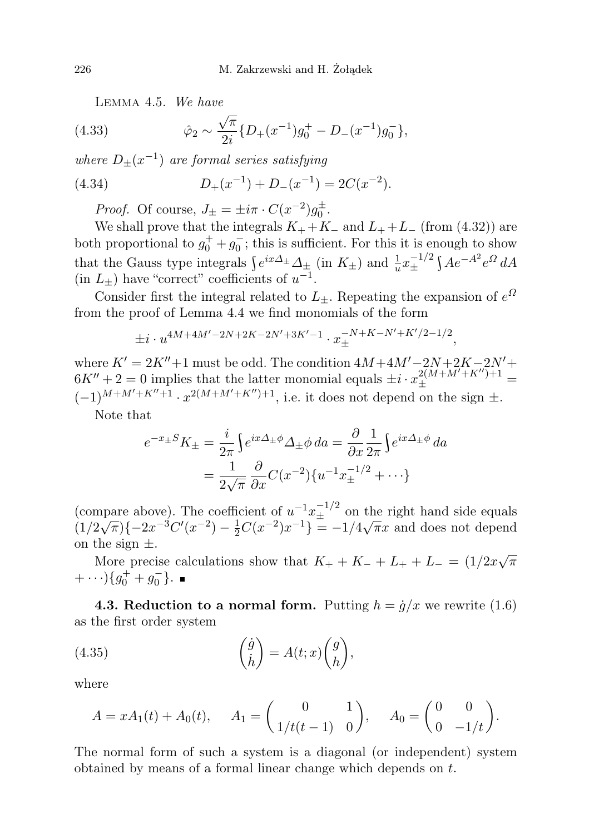Lemma 4.5. We have

(4.33) 
$$
\hat{\varphi}_2 \sim \frac{\sqrt{\pi}}{2i} \{ D_+(x^{-1}) g_0^+ - D_-(x^{-1}) g_0^- \},
$$

where  $D_{\pm}(x^{-1})$  are formal series satisfying

(4.34) 
$$
D_{+}(x^{-1}) + D_{-}(x^{-1}) = 2C(x^{-2}).
$$

*Proof.* Of course,  $J_{\pm} = \pm i\pi \cdot C(x^{-2})g_0^{\pm}$ .

We shall prove that the integrals  $K_+ + K_-$  and  $L_+ + L_-$  (from (4.32)) are both proportional to  $g_0^+ + g_0^-$ ; this is sufficient. For this it is enough to show that the Gauss type integrals  $\int e^{ix\Delta_{\pm}} \Delta_{\pm}$  (in  $K_{\pm}$ ) and  $\frac{1}{u} x_{\pm}^{-1/2}$  $\pm^{-1/2}$ ∫ $Ae^{-A^2}e^{\Omega}dA$ (in  $L_{\pm}$ ) have "correct" coefficients of  $u^{-1}$ .

Consider first the integral related to  $L_{\pm}$ . Repeating the expansion of  $e^{\Omega}$ from the proof of Lemma 4.4 we find monomials of the form

$$
\pm i \cdot u^{4M+4M'-2N+2K-2N'+3K'-1} \cdot x_{\pm}^{-N+K-N'+K'/2-1/2},
$$

where  $K' = 2K'' + 1$  must be odd. The condition  $4M + 4M' - 2N + 2K - 2N' + 1$  $6K'' + 2 = 0$  implies that the latter monomial equals  $\pm i \cdot x_{\pm}^{2(M+M'+K'')+1}$  =

 $(-1)^{M+M'+K''+1} \cdot x^{2(M+M'+K'')+1}$ , i.e. it does not depend on the sign  $\pm$ . Note that

$$
e^{-x \pm S} K_{\pm} = \frac{i}{2\pi} \int e^{ix\Delta_{\pm}\phi} \Delta_{\pm} \phi \, da = \frac{\partial}{\partial x} \frac{1}{2\pi} \int e^{ix\Delta_{\pm}\phi} \, da
$$

$$
= \frac{1}{2\sqrt{\pi}} \frac{\partial}{\partial x} C(x^{-2}) \{u^{-1} x_{\pm}^{-1/2} + \cdots\}
$$

(compare above). The coefficient of  $u^{-1}x_{\pm}^{-1/2}$  on the right hand side equals (compare above). The coefficient of  $u^2 + 1$  on the right hand side equals  $(1/2\sqrt{\pi})\{-2x^{-3}C'(x^{-2}) - \frac{1}{2}C(x^{-2})x^{-1}\} = -1/4\sqrt{\pi}x$  and does not depend on the sign  $\pm$ .

More precise calculations show that  $K_+ + K_- + L_+ + L_- = (1/2x\sqrt{\pi})$  $+ \cdots \} \{g_0^+ + g_0^-\}.$ 

**4.3. Reduction to a normal form.** Putting  $h = \dot{g}/x$  we rewrite (1.6) as the first order system

(4.35) 
$$
\begin{pmatrix} \dot{g} \\ \dot{h} \end{pmatrix} = A(t; x) \begin{pmatrix} g \\ h \end{pmatrix},
$$

where

$$
A = xA_1(t) + A_0(t), \quad A_1 = \begin{pmatrix} 0 & 1 \\ 1/t(t-1) & 0 \end{pmatrix}, \quad A_0 = \begin{pmatrix} 0 & 0 \\ 0 & -1/t \end{pmatrix}.
$$

The normal form of such a system is a diagonal (or independent) system obtained by means of a formal linear change which depends on t.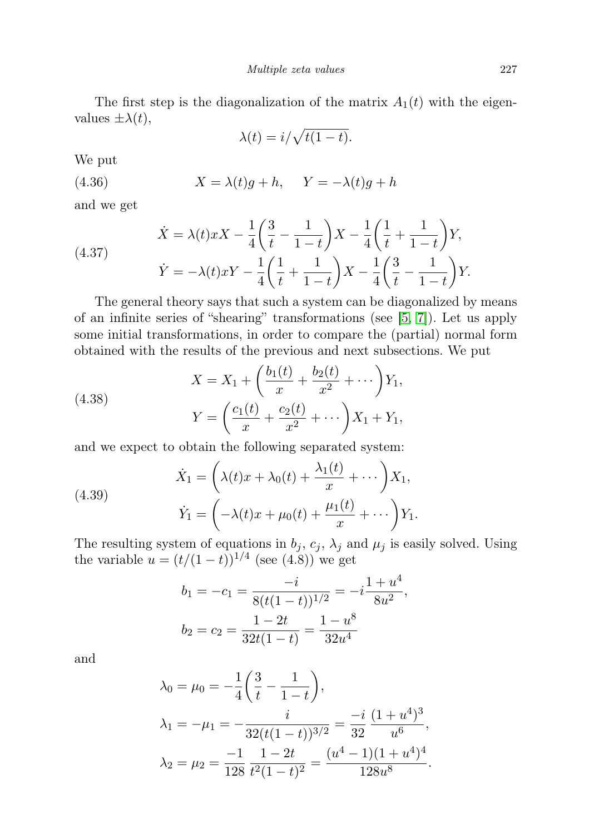The first step is the diagonalization of the matrix  $A_1(t)$  with the eigenvalues  $\pm \lambda(t)$ ,

$$
\lambda(t) = i/\sqrt{t(1-t)}.
$$

We put

(4.36) 
$$
X = \lambda(t)g + h, \quad Y = -\lambda(t)g + h
$$

and we get

(4.37) 
$$
\dot{X} = \lambda(t)xX - \frac{1}{4}\left(\frac{3}{t} - \frac{1}{1-t}\right)X - \frac{1}{4}\left(\frac{1}{t} + \frac{1}{1-t}\right)Y,
$$

$$
\dot{Y} = -\lambda(t)xY - \frac{1}{4}\left(\frac{1}{t} + \frac{1}{1-t}\right)X - \frac{1}{4}\left(\frac{3}{t} - \frac{1}{1-t}\right)Y.
$$

The general theory says that such a system can be diagonalized by means of an infinite series of "shearing" transformations (see [\[5,](#page-34-13) [7\]](#page-34-8)). Let us apply some initial transformations, in order to compare the (partial) normal form obtained with the results of the previous and next subsections. We put

(4.38) 
$$
X = X_1 + \left(\frac{b_1(t)}{x} + \frac{b_2(t)}{x^2} + \cdots\right) Y_1,
$$

$$
Y = \left(\frac{c_1(t)}{x} + \frac{c_2(t)}{x^2} + \cdots\right) X_1 + Y_1,
$$

and we expect to obtain the following separated system:

(4.39)  

$$
\dot{X}_1 = \left(\lambda(t)x + \lambda_0(t) + \frac{\lambda_1(t)}{x} + \cdots\right)X_1,
$$

$$
\dot{Y}_1 = \left(-\lambda(t)x + \mu_0(t) + \frac{\mu_1(t)}{x} + \cdots\right)Y_1.
$$

The resulting system of equations in  $b_j$ ,  $c_j$ ,  $\lambda_j$  and  $\mu_j$  is easily solved. Using the variable  $u = (t/(1-t))^{1/4}$  (see (4.8)) we get

$$
b_1 = -c_1 = \frac{-i}{8(t(1-t))^{1/2}} = -i\frac{1+u^4}{8u^2},
$$
  

$$
b_2 = c_2 = \frac{1-2t}{32t(1-t)} = \frac{1-u^8}{32u^4}
$$

and

$$
\lambda_0 = \mu_0 = -\frac{1}{4} \left( \frac{3}{t} - \frac{1}{1-t} \right),
$$
  
\n
$$
\lambda_1 = -\mu_1 = -\frac{i}{32(t(1-t))^{3/2}} = \frac{-i}{32} \frac{(1+u^4)^3}{u^6},
$$
  
\n
$$
\lambda_2 = \mu_2 = \frac{-1}{128} \frac{1-2t}{t^2(1-t)^2} = \frac{(u^4-1)(1+u^4)^4}{128u^8}.
$$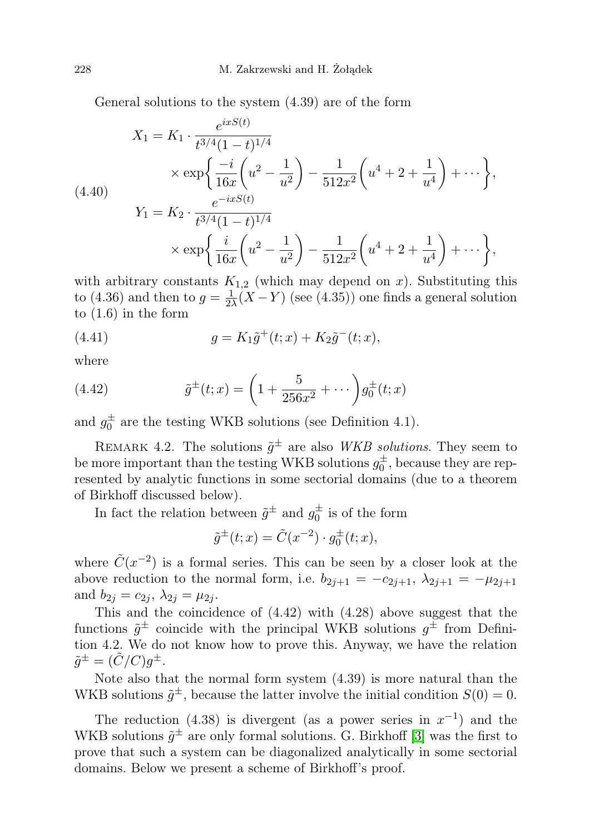General solutions to the system (4.39) are of the form

$$
X_1 = K_1 \cdot \frac{e^{ixS(t)}}{t^{3/4} (1-t)^{1/4}}
$$
  
\n
$$
\times \exp\left\{\frac{-i}{16x} \left(u^2 - \frac{1}{u^2}\right) - \frac{1}{512x^2} \left(u^4 + 2 + \frac{1}{u^4}\right) + \cdots\right\},\
$$
  
\n(4.40)  
\n
$$
Y_1 = K_2 \cdot \frac{e^{-ixS(t)}}{t^{3/4} (1-t)^{1/4}}
$$
  
\n
$$
\times \exp\left\{\frac{i}{16x} \left(u^2 - \frac{1}{u^2}\right) - \frac{1}{512x^2} \left(u^4 + 2 + \frac{1}{u^4}\right) + \cdots\right\},\
$$

with arbitrary constants  $K_{1,2}$  (which may depend on x). Substituting this to (4.36) and then to  $g=\frac{1}{2}$  $\frac{1}{2\lambda}(X-Y)$  (see (4.35)) one finds a general solution to (1.6) in the form

(4.41) 
$$
g = K_1 \tilde{g}^+(t; x) + K_2 \tilde{g}^-(t; x),
$$

where

(4.42) 
$$
\tilde{g}^{\pm}(t;x) = \left(1 + \frac{5}{256x^2} + \cdots\right)g_0^{\pm}(t;x)
$$

and  $g_0^{\pm}$  are the testing WKB solutions (see Definition 4.1).

REMARK 4.2. The solutions  $\tilde{g}^{\pm}$  are also WKB solutions. They seem to be more important than the testing WKB solutions  $g_0^{\pm}$ , because they are represented by analytic functions in some sectorial domains (due to a theorem of Birkhoff discussed below).

In fact the relation between  $\tilde{g}^{\pm}$  and  $g_0^{\pm}$  is of the form

$$
\tilde{g}^{\pm}(t;x) = \tilde{C}(x^{-2}) \cdot g_0^{\pm}(t;x),
$$

where  $\tilde{C}(x^{-2})$  is a formal series. This can be seen by a closer look at the above reduction to the normal form, i.e.  $b_{2i+1} = -c_{2i+1}, \lambda_{2i+1} = -\mu_{2i+1}$ and  $b_{2j} = c_{2j}, \lambda_{2j} = \mu_{2j}$ .

This and the coincidence of (4.42) with (4.28) above suggest that the functions  $\tilde{g}^{\pm}$  coincide with the principal WKB solutions  $g^{\pm}$  from Definition 4.2. We do not know how to prove this. Anyway, we have the relation  $\tilde{g}^{\pm} = (\tilde{C}/C)g^{\pm}.$ 

Note also that the normal form system (4.39) is more natural than the WKB solutions  $\tilde{g}^{\pm}$ , because the latter involve the initial condition  $S(0) = 0$ .

The reduction (4.38) is divergent (as a power series in  $x^{-1}$ ) and the WKB solutions  $\tilde{g}^{\pm}$  are only formal solutions. G. Birkhoff [\[3\]](#page-34-14) was the first to prove that such a system can be diagonalized analytically in some sectorial domains. Below we present a scheme of Birkhoff's proof.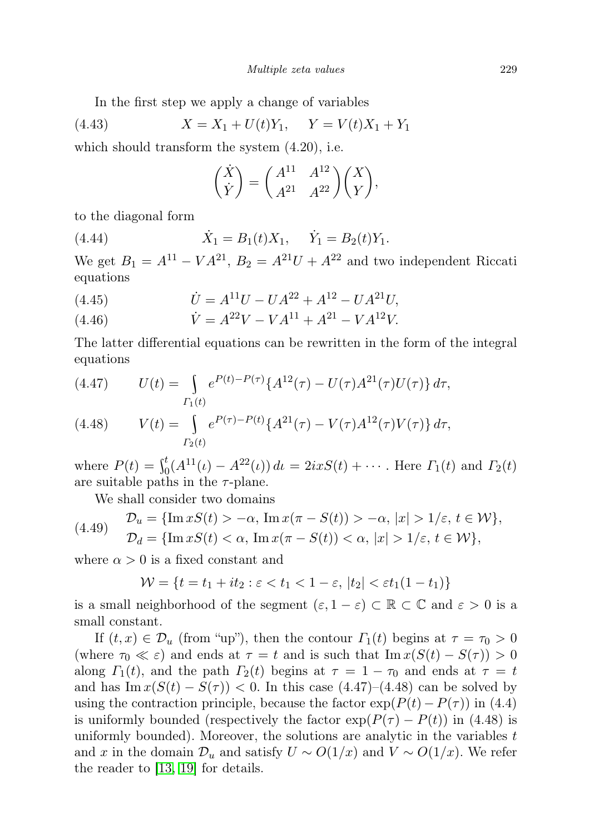In the first step we apply a change of variables

(4.43) 
$$
X = X_1 + U(t)Y_1, \quad Y = V(t)X_1 + Y_1
$$

which should transform the system (4.20), i.e.

$$
\begin{pmatrix} \dot{X} \\ \dot{Y} \end{pmatrix} = \begin{pmatrix} A^{11} & A^{12} \\ A^{21} & A^{22} \end{pmatrix} \begin{pmatrix} X \\ Y \end{pmatrix},
$$

to the diagonal form

(4.44) 
$$
\dot{X}_1 = B_1(t)X_1, \quad \dot{Y}_1 = B_2(t)Y_1.
$$

We get  $B_1 = A^{11} - VA^{21}$ ,  $B_2 = A^{21}U + A^{22}$  and two independent Riccati equations

(4.45) 
$$
\dot{U} = A^{11}U - UA^{22} + A^{12} - UA^{21}U,
$$

(4.46) 
$$
\dot{V} = A^{22}V - VA^{11} + A^{21} - VA^{12}V.
$$

The latter differential equations can be rewritten in the form of the integral equations

(4.47) 
$$
U(t) = \int_{\Gamma_1(t)} e^{P(t) - P(\tau)} \{A^{12}(\tau) - U(\tau)A^{21}(\tau)U(\tau)\} d\tau,
$$
  
(4.48) 
$$
V(t) = \int_{\Gamma_2(t)} e^{P(\tau) - P(t)} \{A^{21}(\tau) - V(\tau)A^{12}(\tau)V(\tau)\} d\tau,
$$

where  $P(t) = \int_0^t (A^{11}(t) - A^{22}(t)) dt = 2ixS(t) + \cdots$ . Here  $\Gamma_1(t)$  and  $\Gamma_2(t)$ are suitable paths in the  $\tau$ -plane.

We shall consider two domains

$$
\begin{aligned} \text{(4.49)} \quad & \mathcal{D}_u = \{ \text{Im}\, xS(t) > -\alpha, \, \text{Im}\, x(\pi - S(t)) > -\alpha, \, |x| > 1/\varepsilon, \, t \in \mathcal{W} \}, \\ & \mathcal{D}_d = \{ \text{Im}\, xS(t) < \alpha, \, \text{Im}\, x(\pi - S(t)) < \alpha, \, |x| > 1/\varepsilon, \, t \in \mathcal{W} \}, \end{aligned}
$$

where  $\alpha > 0$  is a fixed constant and

$$
\mathcal{W} = \{t = t_1 + it_2 : \varepsilon < t_1 < 1 - \varepsilon, \, |t_2| < \varepsilon t_1 (1 - t_1) \}
$$

is a small neighborhood of the segment  $(\varepsilon, 1 - \varepsilon) \subset \mathbb{R} \subset \mathbb{C}$  and  $\varepsilon > 0$  is a small constant.

If  $(t, x) \in \mathcal{D}_u$  (from "up"), then the contour  $\Gamma_1(t)$  begins at  $\tau = \tau_0 > 0$ (where  $\tau_0 \ll \varepsilon$ ) and ends at  $\tau = t$  and is such that  $\text{Im } x(S(t) - S(\tau)) > 0$ along  $\Gamma_1(t)$ , and the path  $\Gamma_2(t)$  begins at  $\tau = 1 - \tau_0$  and ends at  $\tau = t$ and has  $\text{Im } x(S(t) - S(\tau)) < 0$ . In this case (4.47)–(4.48) can be solved by using the contraction principle, because the factor  $\exp(P(t) - P(\tau))$  in (4.4) is uniformly bounded (respectively the factor  $\exp(P(\tau) - P(t))$  in (4.48) is uniformly bounded). Moreover, the solutions are analytic in the variables  $t$ and x in the domain  $\mathcal{D}_u$  and satisfy  $U \sim O(1/x)$  and  $V \sim O(1/x)$ . We refer the reader to [\[13,](#page-34-5) [19\]](#page-35-2) for details.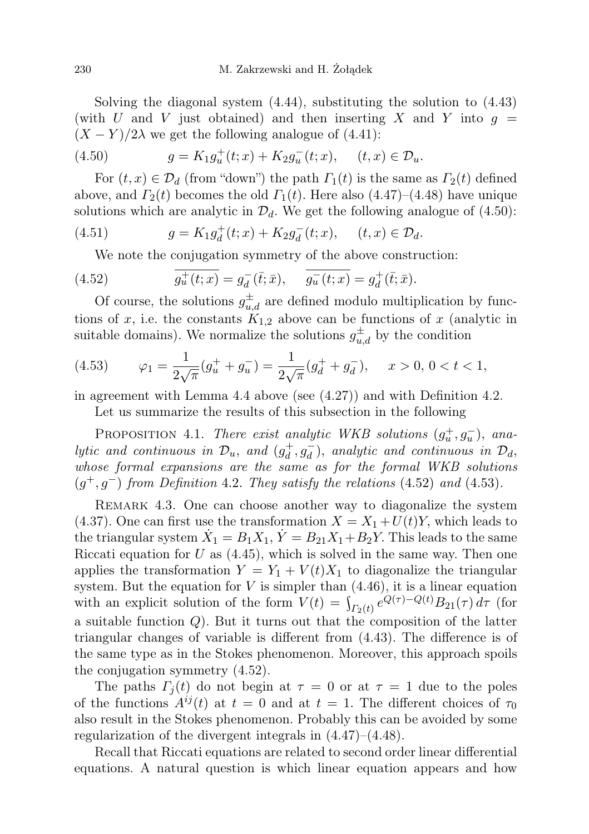Solving the diagonal system (4.44), substituting the solution to (4.43) (with U and V just obtained) and then inserting X and Y into  $g =$  $(X - Y)/2\lambda$  we get the following analogue of (4.41):

(4.50) 
$$
g = K_1 g_u^+(t; x) + K_2 g_u^-(t; x), \quad (t, x) \in \mathcal{D}_u.
$$

For  $(t, x) \in \mathcal{D}_d$  (from "down") the path  $\Gamma_1(t)$  is the same as  $\Gamma_2(t)$  defined above, and  $\Gamma_2(t)$  becomes the old  $\Gamma_1(t)$ . Here also (4.47)–(4.48) have unique solutions which are analytic in  $\mathcal{D}_d$ . We get the following analogue of (4.50):

(4.51) 
$$
g = K_1 g_d^+(t; x) + K_2 g_d^-(t; x), \quad (t, x) \in \mathcal{D}_d.
$$

We note the conjugation symmetry of the above construction:

(4.52) 
$$
\overline{g_u^+(t;x)} = g_d^-(\bar{t};\bar{x}), \quad \overline{g_u^-(t;x)} = g_d^+(\bar{t};\bar{x}).
$$

Of course, the solutions  $g_{u,d}^{\pm}$  are defined modulo multiplication by functions of x, i.e. the constants  $K_{1,2}$  above can be functions of x (analytic in suitable domains). We normalize the solutions  $g_{u,d}^{\pm}$  by the condition

(4.53) 
$$
\varphi_1 = \frac{1}{2\sqrt{\pi}} (g_u^+ + g_u^-) = \frac{1}{2\sqrt{\pi}} (g_d^+ + g_d^-), \quad x > 0, \, 0 < t < 1,
$$

in agreement with Lemma 4.4 above (see (4.27)) and with Definition 4.2.

Let us summarize the results of this subsection in the following

PROPOSITION 4.1. There exist analytic WKB solutions  $(g_u^+, g_u^-)$ , analytic and continuous in  $\mathcal{D}_u$ , and  $(g_d^+$  $\overline{d}_d^+, \overline{g}_d^-$ ), analytic and continuous in  $\mathcal{D}_d$ , whose formal expansions are the same as for the formal WKB solutions  $(g^+, g^-)$  from Definition 4.2. They satisfy the relations (4.52) and (4.53).

REMARK 4.3. One can choose another way to diagonalize the system (4.37). One can first use the transformation  $X = X_1 + U(t)Y$ , which leads to the triangular system  $\dot{X}_1 = B_1 X_1, \dot{Y} = B_{21} X_1 + B_2 Y$ . This leads to the same Riccati equation for  $U$  as  $(4.45)$ , which is solved in the same way. Then one applies the transformation  $Y = Y_1 + V(t)X_1$  to diagonalize the triangular system. But the equation for  $V$  is simpler than  $(4.46)$ , it is a linear equation with an explicit solution of the form  $V(t) = \int_{\Gamma_2(t)} e^{Q(\tau) - Q(t)} B_{21}(\tau) d\tau$  (for a suitable function Q). But it turns out that the composition of the latter triangular changes of variable is different from (4.43). The difference is of the same type as in the Stokes phenomenon. Moreover, this approach spoils the conjugation symmetry (4.52).

The paths  $\Gamma_i(t)$  do not begin at  $\tau = 0$  or at  $\tau = 1$  due to the poles of the functions  $A^{ij}(t)$  at  $t = 0$  and at  $t = 1$ . The different choices of  $\tau_0$ also result in the Stokes phenomenon. Probably this can be avoided by some regularization of the divergent integrals in (4.47)–(4.48).

Recall that Riccati equations are related to second order linear differential equations. A natural question is which linear equation appears and how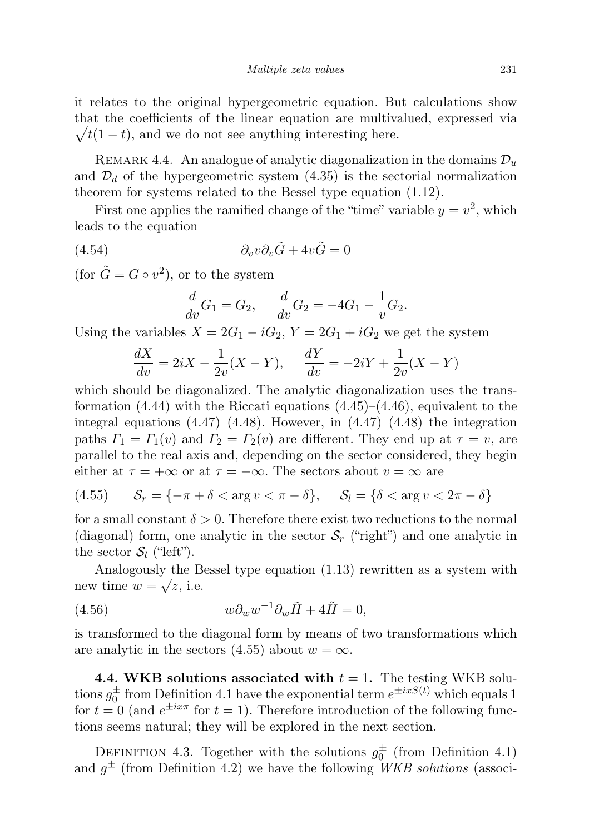it relates to the original hypergeometric equation. But calculations show that the coefficients of the linear equation are multivalued, expressed via  $\sqrt{t(1-t)}$ , and we do not see anything interesting here.

REMARK 4.4. An analogue of analytic diagonalization in the domains  $\mathcal{D}_u$ and  $\mathcal{D}_d$  of the hypergeometric system (4.35) is the sectorial normalization theorem for systems related to the Bessel type equation (1.12).

First one applies the ramified change of the "time" variable  $y = v^2$ , which leads to the equation

(4.54) 
$$
\partial_v v \partial_v \tilde{G} + 4v \tilde{G} = 0
$$

(for  $\tilde{G} = G \circ v^2$ ), or to the system

$$
\frac{d}{dv}G_1 = G_2, \quad \frac{d}{dv}G_2 = -4G_1 - \frac{1}{v}G_2.
$$

Using the variables  $X = 2G_1 - iG_2$ ,  $Y = 2G_1 + iG_2$  we get the system

$$
\frac{dX}{dv} = 2iX - \frac{1}{2v}(X - Y), \quad \frac{dY}{dv} = -2iY + \frac{1}{2v}(X - Y)
$$

which should be diagonalized. The analytic diagonalization uses the transformation  $(4.44)$  with the Riccati equations  $(4.45)-(4.46)$ , equivalent to the integral equations  $(4.47)$ – $(4.48)$ . However, in  $(4.47)$ – $(4.48)$  the integration paths  $\Gamma_1 = \Gamma_1(v)$  and  $\Gamma_2 = \Gamma_2(v)$  are different. They end up at  $\tau = v$ , are parallel to the real axis and, depending on the sector considered, they begin either at  $\tau = +\infty$  or at  $\tau = -\infty$ . The sectors about  $v = \infty$  are

(4.55) 
$$
\mathcal{S}_r = \{-\pi + \delta < \arg v < \pi - \delta\}, \quad \mathcal{S}_l = \{\delta < \arg v < 2\pi - \delta\}
$$

for a small constant  $\delta > 0$ . Therefore there exist two reductions to the normal (diagonal) form, one analytic in the sector  $S_r$  ("right") and one analytic in the sector  $S_l$  ("left").

Analogously the Bessel type equation  $(1.13)$  rewritten as a system with new time  $w = \sqrt{z}$ , i.e.

(4.56) 
$$
w \partial_w w^{-1} \partial_w \tilde{H} + 4\tilde{H} = 0,
$$

is transformed to the diagonal form by means of two transformations which are analytic in the sectors (4.55) about  $w = \infty$ .

4.4. WKB solutions associated with  $t = 1$ . The testing WKB solutions  $g_0^{\pm}$  from Definition 4.1 have the exponential term  $e^{\pm ixS(t)}$  which equals 1 for  $t = 0$  (and  $e^{\pm ix\pi}$  for  $t = 1$ ). Therefore introduction of the following functions seems natural; they will be explored in the next section.

DEFINITION 4.3. Together with the solutions  $g_0^{\pm}$  (from Definition 4.1) and  $g^{\pm}$  (from Definition 4.2) we have the following WKB solutions (associ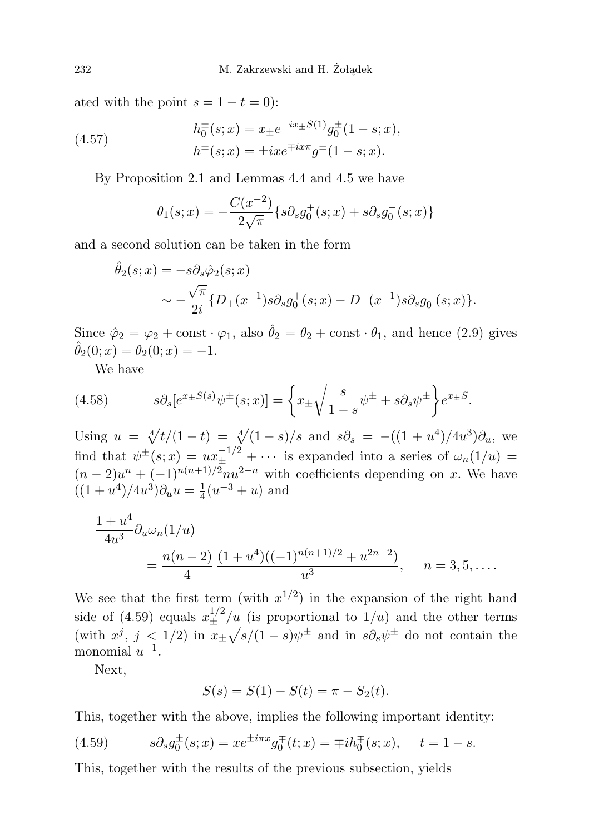ated with the point  $s = 1 - t = 0$ :

(4.57) 
$$
h_0^{\pm}(s; x) = x_{\pm} e^{-ix_{\pm}S(1)} g_0^{\pm}(1-s; x),
$$

$$
h^{\pm}(s; x) = \pm ix e^{\mp ix\pi} g^{\pm}(1-s; x).
$$

By Proposition 2.1 and Lemmas 4.4 and 4.5 we have

$$
\theta_1(s;x) = -\frac{C(x^{-2})}{2\sqrt{\pi}} \{s\partial_s g_0^+(s;x) + s\partial_s g_0^-(s;x)\}
$$

and a second solution can be taken in the form

$$
\hat{\theta}_2(s;x) = -s\partial_s \hat{\varphi}_2(s;x) \n\sim -\frac{\sqrt{\pi}}{2i} \{D_+(x^{-1})s\partial_s g_0^+(s;x) - D_-(x^{-1})s\partial_s g_0^-(s;x)\}.
$$

Since  $\hat{\varphi}_2 = \varphi_2 + \text{const} \cdot \varphi_1$ , also  $\hat{\theta}_2 = \theta_2 + \text{const} \cdot \theta_1$ , and hence (2.9) gives  $\theta_2(0; x) = \theta_2(0; x) = -1.$ 

We have

(4.58) 
$$
s\partial_s[e^{x \pm S(s)}\psi^{\pm}(s;x)] = \left\{x \pm \sqrt{\frac{s}{1-s}}\psi^{\pm} + s\partial_s\psi^{\pm}\right\}e^{x \pm S}.
$$

Using  $u = \sqrt[4]{t/(1-t)} = \sqrt[4]{(1-s)/s}$  and  $s\partial_s = -((1+u^4)/4u^3)\partial_u$ , we find that  $\psi^{\pm}(s;x) = ux_{\pm}^{-1/2} + \cdots$  is expanded into a series of  $\omega_n(1/u) =$  $(n-2)u^{n} + (-1)^{n(n+1)/2}nu^{2-n}$  with coefficients depending on x. We have  $((1+u^4)/4u^3)\partial_u u = \frac{1}{4}$  $\frac{1}{4}(u^{-3}+u)$  and

$$
\frac{1+u^4}{4u^3}\partial_u\omega_n(1/u)
$$
  
=  $\frac{n(n-2)}{4}\frac{(1+u^4)((-1)^{n(n+1)/2}+u^{2n-2})}{u^3}$ , n = 3,5,...

We see that the first term (with  $x^{1/2}$ ) in the expansion of the right hand side of (4.59) equals  $x_{\pm}^{1/2}/u$  (is proportional to  $1/u$ ) and the other terms (with  $x^j$ ,  $j < 1/2$ ) in  $x_{\pm} \sqrt{s/(1-s)} \psi^{\pm}$  and in  $s \partial_s \psi^{\pm}$  do not contain the monomial  $u^{-1}$ .

Next,

$$
S(s) = S(1) - S(t) = \pi - S_2(t).
$$

This, together with the above, implies the following important identity:

(4.59) 
$$
s\partial_s g_0^{\pm}(s; x) = x e^{\pm i\pi x} g_0^{\mp}(t; x) = \mp i h_0^{\mp}(s; x), \quad t = 1 - s.
$$

This, together with the results of the previous subsection, yields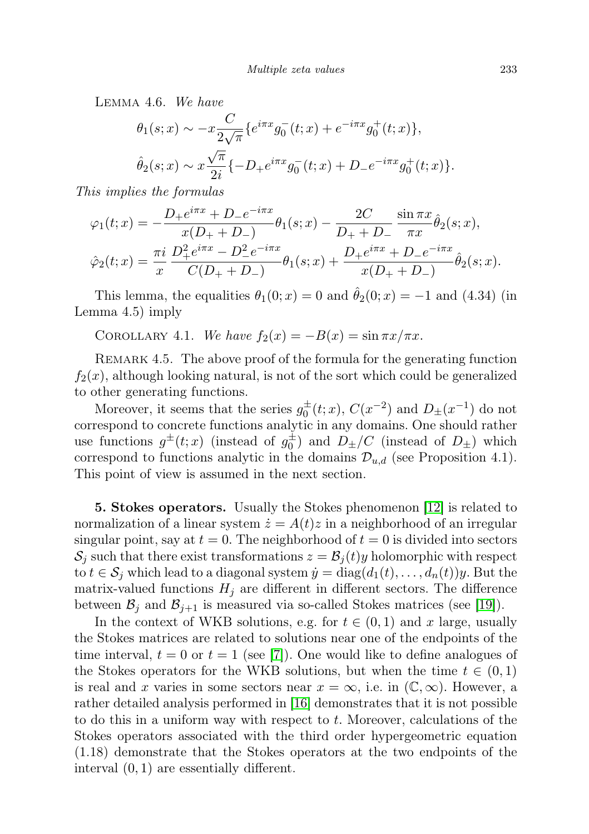Lemma 4.6. We have

$$
\theta_1(s;x) \sim -x \frac{C}{2\sqrt{\pi}} \{e^{i\pi x} g_0^-(t;x) + e^{-i\pi x} g_0^+(t;x) \},
$$
  

$$
\hat{\theta}_2(s;x) \sim x \frac{\sqrt{\pi}}{2i} \{-D_+ e^{i\pi x} g_0^-(t;x) + D_- e^{-i\pi x} g_0^+(t;x) \}.
$$

This implies the formulas

$$
\varphi_1(t;x) = -\frac{D_+e^{i\pi x} + D_-e^{-i\pi x}}{x(D_+ + D_-)}\theta_1(s;x) - \frac{2C}{D_+ + D_-}\frac{\sin \pi x}{\pi x}\hat{\theta}_2(s;x),
$$
  

$$
\hat{\varphi}_2(t;x) = \frac{\pi i}{x}\frac{D_+^2e^{i\pi x} - D_-^2e^{-i\pi x}}{C(D_+ + D_-)}\theta_1(s;x) + \frac{D_+e^{i\pi x} + D_-e^{-i\pi x}}{x(D_+ + D_-)}\hat{\theta}_2(s;x).
$$

This lemma, the equalities  $\theta_1(0; x) = 0$  and  $\hat{\theta}_2(0; x) = -1$  and (4.34) (in Lemma 4.5) imply

COROLLARY 4.1. We have  $f_2(x) = -B(x) = \sin \pi x / \pi x$ .

REMARK 4.5. The above proof of the formula for the generating function  $f_2(x)$ , although looking natural, is not of the sort which could be generalized to other generating functions.

Moreover, it seems that the series  $g_0^{\pm}(t; x)$ ,  $C(x^{-2})$  and  $D_{\pm}(x^{-1})$  do not correspond to concrete functions analytic in any domains. One should rather use functions  $g^{\pm}(t;x)$  (instead of  $g_0^{\pm}$ ) and  $D_{\pm}/C$  (instead of  $D_{\pm}$ ) which correspond to functions analytic in the domains  $\mathcal{D}_{u,d}$  (see Proposition 4.1). This point of view is assumed in the next section.

5. Stokes operators. Usually the Stokes phenomenon [\[12\]](#page-34-15) is related to normalization of a linear system  $\dot{z} = A(t)z$  in a neighborhood of an irregular singular point, say at  $t = 0$ . The neighborhood of  $t = 0$  is divided into sectors  $\mathcal{S}_j$  such that there exist transformations  $z = \mathcal{B}_j(t)y$  holomorphic with respect to  $t \in S_j$  which lead to a diagonal system  $\dot{y} = \text{diag}(d_1(t), \ldots, d_n(t))y$ . But the matrix-valued functions  $H_j$  are different in different sectors. The difference between  $\mathcal{B}_j$  and  $\mathcal{B}_{j+1}$  is measured via so-called Stokes matrices (see [\[19\]](#page-35-2)).

In the context of WKB solutions, e.g. for  $t \in (0,1)$  and x large, usually the Stokes matrices are related to solutions near one of the endpoints of the time interval,  $t = 0$  or  $t = 1$  (see [\[7\]](#page-34-8)). One would like to define analogues of the Stokes operators for the WKB solutions, but when the time  $t \in (0,1)$ is real and x varies in some sectors near  $x = \infty$ , i.e. in  $(\mathbb{C}, \infty)$ . However, a rather detailed analysis performed in [\[16\]](#page-34-4) demonstrates that it is not possible to do this in a uniform way with respect to t. Moreover, calculations of the Stokes operators associated with the third order hypergeometric equation (1.18) demonstrate that the Stokes operators at the two endpoints of the interval (0, 1) are essentially different.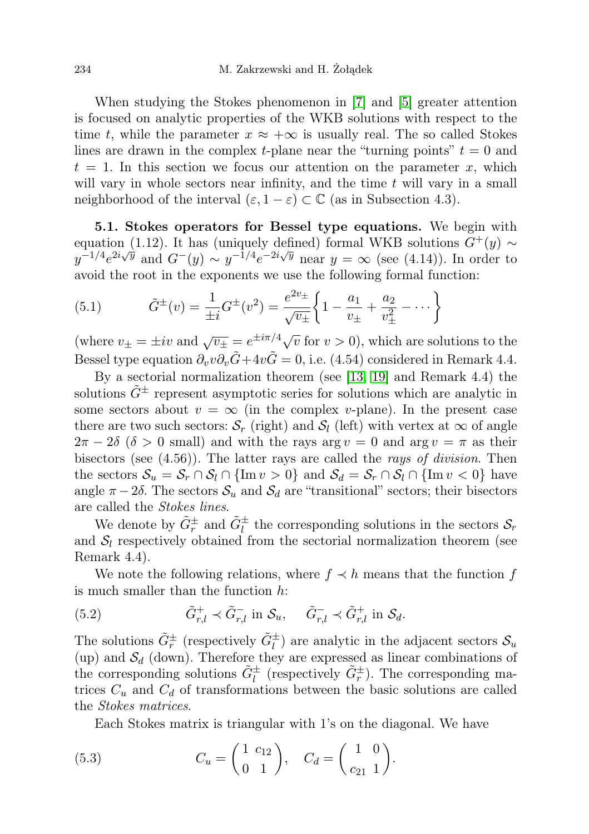When studying the Stokes phenomenon in [\[7\]](#page-34-8) and [\[5\]](#page-34-13) greater attention is focused on analytic properties of the WKB solutions with respect to the time t, while the parameter  $x \approx +\infty$  is usually real. The so called Stokes lines are drawn in the complex t-plane near the "turning points"  $t = 0$  and  $t = 1$ . In this section we focus our attention on the parameter x, which will vary in whole sectors near infinity, and the time  $t$  will vary in a small neighborhood of the interval  $(\varepsilon, 1 - \varepsilon) \subset \mathbb{C}$  (as in Subsection 4.3).

5.1. Stokes operators for Bessel type equations. We begin with equation (1.12). It has (uniquely defined) formal WKB solutions  $G^+(y) \sim$  $y^{-1/4}e^{2i\sqrt{y}}$  and  $G^-(y) \sim y^{-1/4}e^{-2i\sqrt{y}}$  near  $y = \infty$  (see (4.14)). In order to avoid the root in the exponents we use the following formal function:

(5.1) 
$$
\tilde{G}^{\pm}(v) = \frac{1}{\pm i} G^{\pm}(v^2) = \frac{e^{2v_{\pm}}}{\sqrt{v_{\pm}}} \left\{ 1 - \frac{a_1}{v_{\pm}} + \frac{a_2}{v_{\pm}^2} - \cdots \right\}
$$

(where  $v_{\pm} = \pm iv$  and  $\sqrt{v_{\pm}} = e^{\pm i\pi/4}\sqrt{v}$  for  $v > 0$ ), which are solutions to the Bessel type equation  $\partial_v v \partial_v \tilde{G} + 4v \tilde{G} = 0$ , i.e. (4.54) considered in Remark 4.4.

By a sectorial normalization theorem (see [\[13,](#page-34-5) [19\]](#page-35-2) and Remark 4.4) the solutions  $\tilde{G}^{\pm}$  represent asymptotic series for solutions which are analytic in some sectors about  $v = \infty$  (in the complex v-plane). In the present case there are two such sectors:  $S_r$  (right) and  $S_l$  (left) with vertex at  $\infty$  of angle  $2\pi - 2\delta$  ( $\delta > 0$  small) and with the rays arg  $v = 0$  and arg  $v = \pi$  as their bisectors (see (4.56)). The latter rays are called the *rays of division*. Then the sectors  $S_u = S_r \cap S_l \cap \{\text{Im } v > 0\}$  and  $S_d = S_r \cap S_l \cap \{\text{Im } v < 0\}$  have angle  $\pi - 2\delta$ . The sectors  $\mathcal{S}_u$  and  $\mathcal{S}_d$  are "transitional" sectors; their bisectors are called the Stokes lines.

We denote by  $\tilde{G}_r^{\pm}$  and  $\tilde{G}_l^{\pm}$  the corresponding solutions in the sectors  $\mathcal{S}_r$ and  $S_l$  respectively obtained from the sectorial normalization theorem (see Remark 4.4).

We note the following relations, where  $f \prec h$  means that the function f is much smaller than the function h:

(5.2) 
$$
\tilde{G}_{r,l}^+ \prec \tilde{G}_{r,l}^- \text{ in } \mathcal{S}_u, \quad \tilde{G}_{r,l}^- \prec \tilde{G}_{r,l}^+ \text{ in } \mathcal{S}_d.
$$

The solutions  $\tilde{G}_r^{\pm}$  (respectively  $\tilde{G}_l^{\pm}$ ) are analytic in the adjacent sectors  $\mathcal{S}_u$ (up) and  $S_d$  (down). Therefore they are expressed as linear combinations of the corresponding solutions  $\tilde{G}_l^{\pm}$  (respectively  $\tilde{G}_r^{\pm}$ ). The corresponding matrices  $C_u$  and  $C_d$  of transformations between the basic solutions are called the Stokes matrices.

Each Stokes matrix is triangular with 1's on the diagonal. We have

(5.3) 
$$
C_u = \begin{pmatrix} 1 & c_{12} \\ 0 & 1 \end{pmatrix}, C_d = \begin{pmatrix} 1 & 0 \\ c_{21} & 1 \end{pmatrix}.
$$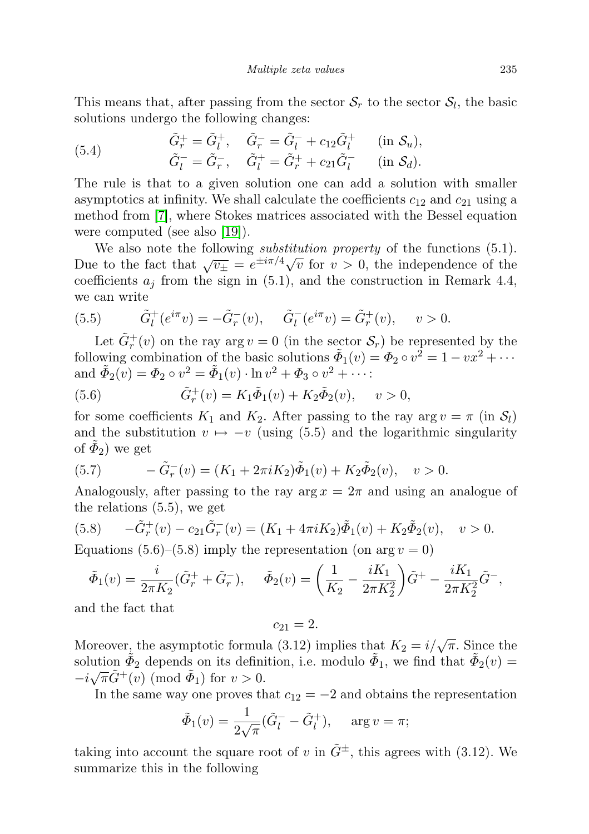This means that, after passing from the sector  $S_r$  to the sector  $S_l$ , the basic solutions undergo the following changes:

(5.4) 
$$
\tilde{G}_r^+ = \tilde{G}_l^+, \quad \tilde{G}_r^- = \tilde{G}_l^- + c_{12}\tilde{G}_l^+ \quad (\text{in } \mathcal{S}_u), \n\tilde{G}_l^- = \tilde{G}_r^-, \quad \tilde{G}_l^+ = \tilde{G}_r^+ + c_{21}\tilde{G}_l^- \quad (\text{in } \mathcal{S}_d).
$$

The rule is that to a given solution one can add a solution with smaller asymptotics at infinity. We shall calculate the coefficients  $c_{12}$  and  $c_{21}$  using a method from [\[7\]](#page-34-8), where Stokes matrices associated with the Bessel equation were computed (see also [\[19\]](#page-35-2)).

We also note the following *substitution property* of the functions  $(5.1)$ . We also note the following *substitution property* of the functions (3.1).<br>Due to the fact that  $\sqrt{v_{\pm}} = e^{\pm i\pi/4}\sqrt{v}$  for  $v > 0$ , the independence of the coefficients  $a_j$  from the sign in (5.1), and the construction in Remark 4.4, we can write

(5.5) 
$$
\tilde{G}_l^+(e^{i\pi}v) = -\tilde{G}_r^-(v), \quad \tilde{G}_l^-(e^{i\pi}v) = \tilde{G}_r^+(v), \quad v > 0.
$$

Let  $\tilde{G}_r^+(v)$  on the ray  $\arg v = 0$  (in the sector  $\mathcal{S}_r$ ) be represented by the following combination of the basic solutions  $\tilde{\Phi}_1(v) = \Phi_2 \circ v^2 = 1 - vx^2 + \cdots$ and  $\tilde{\Phi}_2(v) = \Phi_2 \circ v^2 = \tilde{\Phi}_1(v) \cdot \ln v^2 + \Phi_3 \circ v^2 + \cdots$ 

(5.6) 
$$
\tilde{G}_r^+(v) = K_1 \tilde{\Phi}_1(v) + K_2 \tilde{\Phi}_2(v), \quad v > 0,
$$

for some coefficients  $K_1$  and  $K_2$ . After passing to the ray arg  $v = \pi$  (in  $\mathcal{S}_l$ ) and the substitution  $v \mapsto -v$  (using (5.5) and the logarithmic singularity of  $\tilde{\Phi}_2$ ) we get

(5.7) 
$$
-\tilde{G}_r^-(v) = (K_1 + 2\pi i K_2)\tilde{\Phi}_1(v) + K_2\tilde{\Phi}_2(v), \quad v > 0.
$$

Analogously, after passing to the ray  $\arg x = 2\pi$  and using an analogue of the relations (5.5), we get

(5.8) 
$$
-\tilde{G}_r^+(v) - c_{21}\tilde{G}_r^-(v) = (K_1 + 4\pi i K_2)\tilde{\Phi}_1(v) + K_2\tilde{\Phi}_2(v), \quad v > 0.
$$

Equations (5.6)–(5.8) imply the representation (on arg  $v = 0$ )

$$
\tilde{\Phi}_1(v) = \frac{i}{2\pi K_2} (\tilde{G}_r^+ + \tilde{G}_r^-), \quad \tilde{\Phi}_2(v) = \left(\frac{1}{K_2} - \frac{iK_1}{2\pi K_2^2}\right) \tilde{G}^+ - \frac{iK_1}{2\pi K_2^2} \tilde{G}^-,
$$

and the fact that

 $c_{21} = 2.$ 

Moreover, the asymptotic formula (3.12) implies that  $K_2 = i/\sqrt{\pi}$ . Since the solution  $\tilde{\Phi}_2$  depends on its definition, i.e. modulo  $\tilde{\Phi}_1$ , we find that  $\tilde{\Phi}_2(v) =$  $-i\sqrt{\pi}\tilde{G}^+(v) \pmod{\tilde{\Phi}_1}$  for  $v > 0$ .

In the same way one proves that  $c_{12} = -2$  and obtains the representation

$$
\tilde{\Phi}_1(v) = \frac{1}{2\sqrt{\pi}} (\tilde{G}_l^- - \tilde{G}_l^+), \quad \text{arg } v = \pi;
$$

taking into account the square root of v in  $\tilde{G}^{\pm}$ , this agrees with (3.12). We summarize this in the following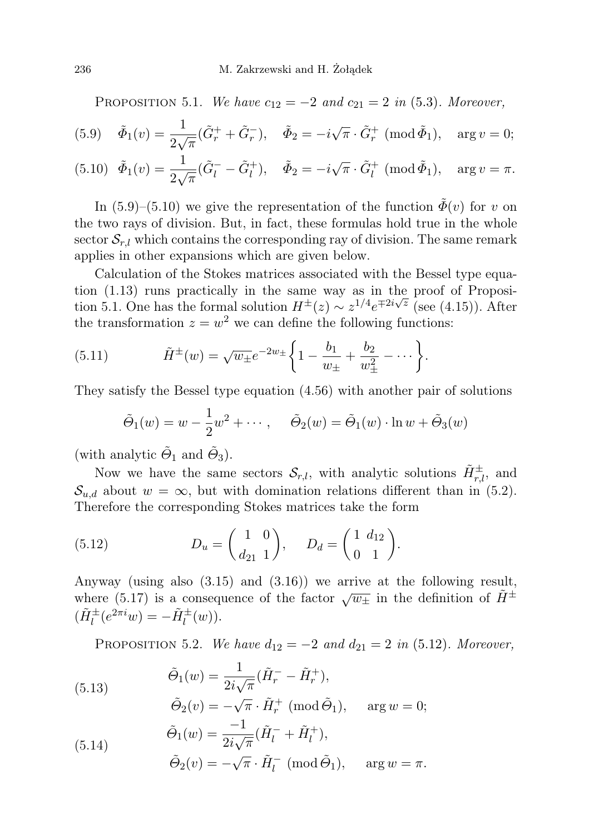PROPOSITION 5.1. We have  $c_{12} = -2$  and  $c_{21} = 2$  in (5.3). Moreover,

(5.9) 
$$
\tilde{\Phi}_1(v) = \frac{1}{2\sqrt{\pi}} (\tilde{G}_r^+ + \tilde{G}_r^-), \quad \tilde{\Phi}_2 = -i\sqrt{\pi} \cdot \tilde{G}_r^+ \text{ (mod } \tilde{\Phi}_1), \quad \text{arg } v = 0;
$$

(5.10) 
$$
\tilde{\Phi}_1(v) = \frac{1}{2\sqrt{\pi}} (\tilde{G}_l^- - \tilde{G}_l^+), \quad \tilde{\Phi}_2 = -i\sqrt{\pi} \cdot \tilde{G}_l^+ \text{ (mod } \tilde{\Phi}_1), \quad \text{arg } v = \pi.
$$

In (5.9)–(5.10) we give the representation of the function  $\tilde{\Phi}(v)$  for v on the two rays of division. But, in fact, these formulas hold true in the whole sector  $S_{r,l}$  which contains the corresponding ray of division. The same remark applies in other expansions which are given below.

Calculation of the Stokes matrices associated with the Bessel type equation  $(1.13)$  runs practically in the same way as in the proof of Proposition 5.1. One has the formal solution  $H^{\pm}(z) \sim z^{1/4} e^{\mp 2i\sqrt{z}}$  (see (4.15)). After the transformation  $z = w^2$  we can define the following functions:

(5.11) 
$$
\tilde{H}^{\pm}(w) = \sqrt{w_{\pm}}e^{-2w_{\pm}}\bigg\{1-\frac{b_1}{w_{\pm}}+\frac{b_2}{w_{\pm}^2}-\cdots\bigg\}.
$$

They satisfy the Bessel type equation (4.56) with another pair of solutions

$$
\tilde{\Theta}_1(w) = w - \frac{1}{2}w^2 + \cdots, \quad \tilde{\Theta}_2(w) = \tilde{\Theta}_1(w) \cdot \ln w + \tilde{\Theta}_3(w)
$$

(with analytic  $\tilde{\Theta}_1$  and  $\tilde{\Theta}_3$ ).

Now we have the same sectors  $\mathcal{S}_{r,l}$ , with analytic solutions  $\tilde{H}_{r,l}^{\pm}$ , and  $\mathcal{S}_{u,d}$  about  $w = \infty$ , but with domination relations different than in (5.2). Therefore the corresponding Stokes matrices take the form

(5.12) 
$$
D_u = \begin{pmatrix} 1 & 0 \\ d_{21} & 1 \end{pmatrix}, \quad D_d = \begin{pmatrix} 1 & d_{12} \\ 0 & 1 \end{pmatrix}.
$$

Anyway (using also (3.15) and (3.16)) we arrive at the following result, where (5.17) is a consequence of the factor  $\sqrt{w_{\pm}}$  in the definition of  $\tilde{H}^{\pm}$  $(\tilde{H}_l^{\pm}(e^{2\pi i}w) = -\tilde{H}_l^{\pm}(w)).$ 

PROPOSITION 5.2. We have  $d_{12} = -2$  and  $d_{21} = 2$  in (5.12). Moreover,

(5.13)  
\n
$$
\tilde{\Theta}_1(w) = \frac{1}{2i\sqrt{\pi}} (\tilde{H}_r^- - \tilde{H}_r^+),
$$
\n
$$
\tilde{\Theta}_2(v) = -\sqrt{\pi} \cdot \tilde{H}_r^+ \text{ (mod } \tilde{\Theta}_1), \text{ arg } w = 0;
$$
\n
$$
\tilde{\Theta}_1(w) = \frac{-1}{2i\sqrt{\pi}} (\tilde{H}_l^- + \tilde{H}_l^+),
$$

$$
\tilde{\Theta}_2(v) = -\sqrt{\pi} \cdot \tilde{H}_l^- \; (\text{mod } \tilde{\Theta}_1), \quad \text{arg } w = \pi.
$$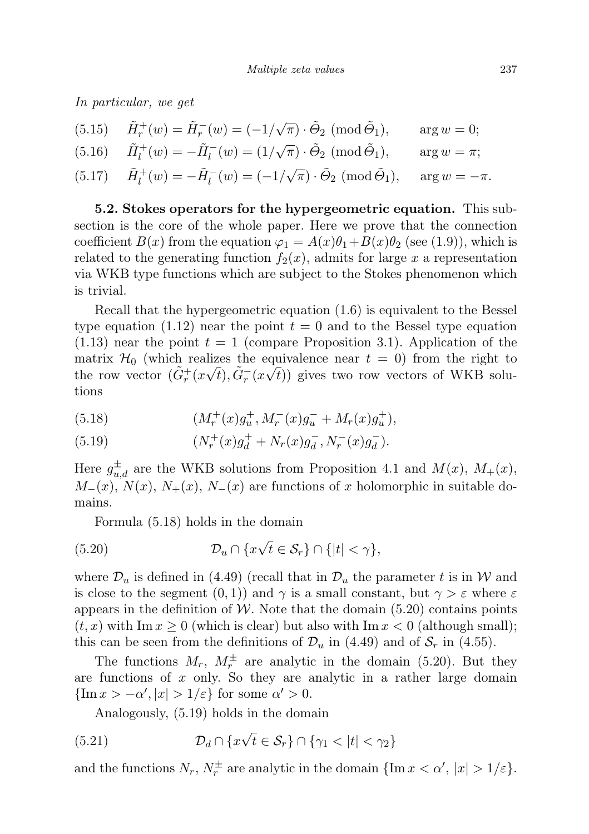In particular, we get

(5.15) 
$$
\tilde{H}_r^+(w) = \tilde{H}_r^-(w) = (-1/\sqrt{\pi}) \cdot \tilde{\Theta}_2 \pmod{\tilde{\Theta}_1}, \text{ arg } w = 0;
$$
  
\n(5.16)  $\tilde{H}_l^+(w) = -\tilde{H}_l^-(w) = (1/\sqrt{\pi}) \cdot \tilde{\Theta}_2 \pmod{\tilde{\Theta}_1}, \text{ arg } w = \pi;$   
\n(5.17)  $\tilde{H}_l^+(w) = -\tilde{H}_l^-(w) = (-1/\sqrt{\pi}) \cdot \tilde{\Theta}_2 \pmod{\tilde{\Theta}_1}, \text{ arg } w = -\pi.$ 

5.2. Stokes operators for the hypergeometric equation. This subsection is the core of the whole paper. Here we prove that the connection coefficient  $B(x)$  from the equation  $\varphi_1 = A(x)\theta_1 + B(x)\theta_2$  (see (1.9)), which is related to the generating function  $f_2(x)$ , admits for large x a representation via WKB type functions which are subject to the Stokes phenomenon which is trivial.

Recall that the hypergeometric equation (1.6) is equivalent to the Bessel type equation (1.12) near the point  $t = 0$  and to the Bessel type equation  $(1.13)$  near the point  $t = 1$  (compare Proposition 3.1). Application of the matrix  $\mathcal{H}_0$  (which realizes the equivalence near  $t = 0$ ) from the right to the row vector  $(\tilde{G}_r^+(x\sqrt{t}), \tilde{G}_r^-(x\sqrt{t}))$  gives two row vectors of WKB solutions

(5.18) 
$$
(M_r^+(x)g_u^+, M_r^-(x)g_u^- + M_r(x)g_u^+),
$$

(5.19) 
$$
(N_r^+(x)g_d^+ + N_r(x)g_d^-, N_r^-(x)g_d^-).
$$

Here  $g_{u,d}^{\pm}$  are the WKB solutions from Proposition 4.1 and  $M(x)$ ,  $M_+(x)$ ,  $M_-(x)$ ,  $N(x)$ ,  $N_+(x)$ ,  $N_-(x)$  are functions of x holomorphic in suitable domains.

Formula (5.18) holds in the domain

(5.20) 
$$
\mathcal{D}_u \cap \{x\sqrt{t} \in \mathcal{S}_r\} \cap \{|t| < \gamma\},
$$

where  $\mathcal{D}_u$  is defined in (4.49) (recall that in  $\mathcal{D}_u$  the parameter t is in W and is close to the segment  $(0, 1)$  and  $\gamma$  is a small constant, but  $\gamma > \varepsilon$  where  $\varepsilon$ appears in the definition of W. Note that the domain  $(5.20)$  contains points  $(t, x)$  with Im  $x \geq 0$  (which is clear) but also with Im  $x < 0$  (although small); this can be seen from the definitions of  $\mathcal{D}_u$  in (4.49) and of  $\mathcal{S}_r$  in (4.55).

The functions  $M_r$ ,  $M_r^{\pm}$  are analytic in the domain (5.20). But they are functions of  $x$  only. So they are analytic in a rather large domain  $\{\text{Im }x > -\alpha', |x| > 1/\varepsilon\}$  for some  $\alpha' > 0$ .

Analogously, (5.19) holds in the domain

(5.21) 
$$
\mathcal{D}_d \cap \{x\sqrt{t} \in \mathcal{S}_r\} \cap \{\gamma_1 < |t| < \gamma_2\}
$$

and the functions  $N_r$ ,  $N_r^{\pm}$  are analytic in the domain  $\{\text{Im } x < \alpha', |x| > 1/\varepsilon\}.$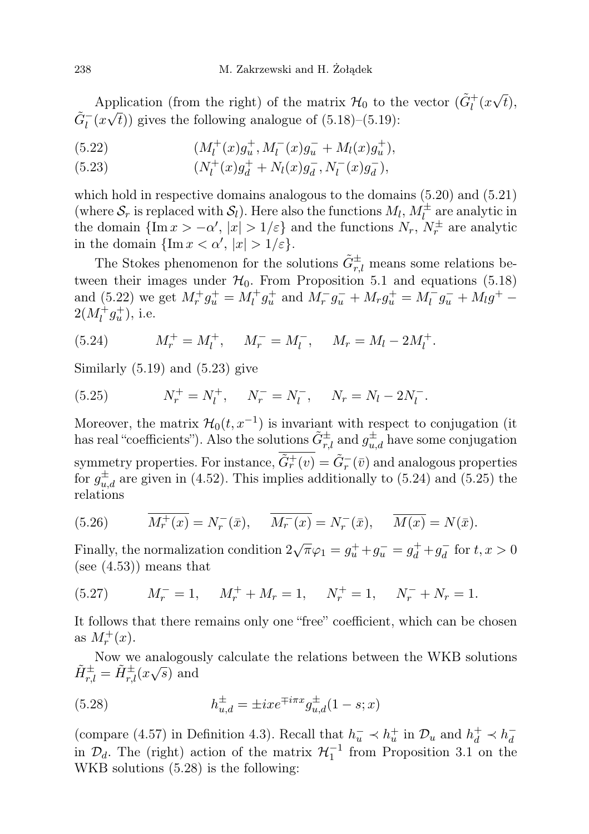Application (from the right) of the matrix  $\mathcal{H}_0$  to the vector  $(\tilde{G}_l^+(x))$ √ pplication (from the right) of the matrix  $\mathcal{H}_0$  to the vector  $(G_l^+(x\sqrt{t}), \vec{\theta})$  $\tilde{G}^-_l(x\sqrt{t})$  gives the following analogue of (5.18)–(5.19):

(5.22) 
$$
(M_l^+(x)g_u^+, M_l^-(x)g_u^- + M_l(x)g_u^+),
$$

(5.23) 
$$
(N_l^+(x)g_d^+ + N_l(x)g_d^-, N_l^-(x)g_d^-),
$$

which hold in respective domains analogous to the domains  $(5.20)$  and  $(5.21)$ (where  $S_r$  is replaced with  $S_l$ ). Here also the functions  $M_l$ ,  $M_l^{\pm}$  are analytic in the domain  $\{\text{Im }x > -\alpha', |x| > 1/\varepsilon\}$  and the functions  $N_r$ ,  $N_r^{\pm}$  are analytic in the domain  $\{\text{Im }x < \alpha', |x| > 1/\varepsilon\}.$ 

The Stokes phenomenon for the solutions  $\tilde{G}^{\pm}_{r,l}$  means some relations between their images under  $H_0$ . From Proposition 5.1 and equations (5.18) and (5.22) we get  $M_r^+ g_u^+ = M_l^+ g_u^+$  and  $M_r^- g_u^- + M_r g_u^+ = M_l^- g_u^- + M_l g^+ 2(M_l^+g_u^+),$  i.e.

(5.24) 
$$
M_r^+ = M_l^+, \quad M_r^- = M_l^-, \quad M_r = M_l - 2M_l^+.
$$

Similarly  $(5.19)$  and  $(5.23)$  give

(5.25) 
$$
N_r^+ = N_l^+, \quad N_r^- = N_l^-, \quad N_r = N_l - 2N_l^-.
$$

Moreover, the matrix  $\mathcal{H}_0(t, x^{-1})$  is invariant with respect to conjugation (it has real "coefficients"). Also the solutions  $\tilde{G}^{\pm}_{r,l}$  and  $g^{\pm}_{u,d}$  have some conjugation symmetry properties. For instance,  $\tilde{G}_r^+(v) = \tilde{G}_r^-(\bar{v})$  and analogous properties for  $g_{u,d}^{\pm}$  are given in (4.52). This implies additionally to (5.24) and (5.25) the relations

(5.26) 
$$
\overline{M_r^+(x)} = N_r^-(\bar{x}), \quad \overline{M_r^-(x)} = N_r^-(\bar{x}), \quad \overline{M(x)} = N(\bar{x}).
$$

Finally, the normalization condition  $2\sqrt{\pi}\varphi_1 = g_u^+ + g_u^- = g_d^+ + g_d^ \overline{d}$  for  $t, x > 0$ (see  $(4.53)$ ) means that

(5.27) 
$$
M_r^- = 1, \quad M_r^+ + M_r = 1, \quad N_r^+ = 1, \quad N_r^- + N_r = 1.
$$

It follows that there remains only one "free" coefficient, which can be chosen as  $M_r^+(x)$ .

Now we analogously calculate the relations between the WKB solutions  $\tilde{r}$ .  $\tilde{H}_{r,l}^{\pm} = \tilde{H}_{r,l}^{\pm}(x\sqrt{s})$  and

(5.28) 
$$
h_{u,d}^{\pm} = \pm ix e^{\mp i\pi x} g_{u,d}^{\pm} (1-s; x)
$$

(compare (4.57) in Definition 4.3). Recall that  $h_u^- \prec h_u^+$  in  $\mathcal{D}_u$  and  $h_d^+ \prec h_d^$ d in  $\mathcal{D}_d$ . The (right) action of the matrix  $\mathcal{H}_1^{-1}$  from Proposition 3.1 on the WKB solutions (5.28) is the following: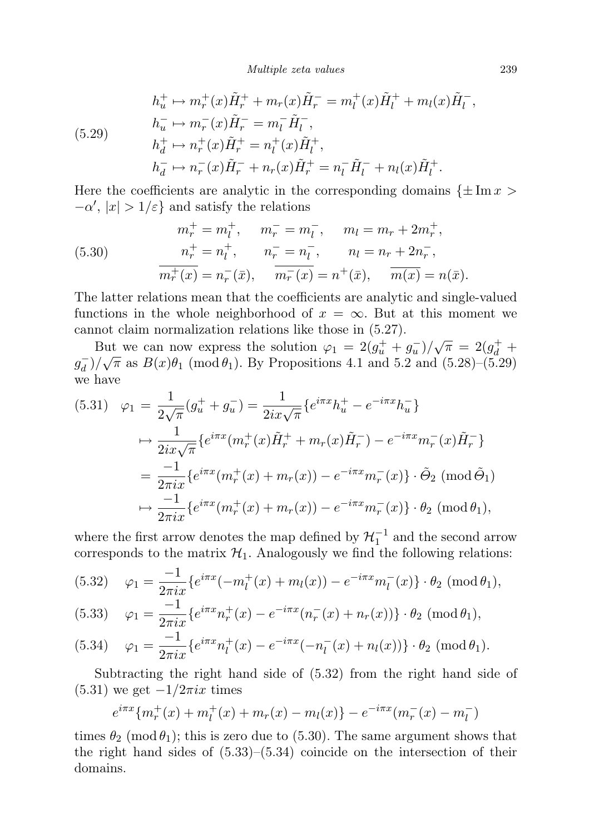Multiple zeta values 239

(5.29)  
\n
$$
h_u^+ \mapsto m_r^+(x)\tilde{H}_r^+ + m_r(x)\tilde{H}_r^- = m_l^+(x)\tilde{H}_l^+ + m_l(x)\tilde{H}_l^-
$$
\n
$$
h_u^- \mapsto m_r^-(x)\tilde{H}_r^- = m_l^-\tilde{H}_l^-,
$$
\n
$$
h_d^+ \mapsto n_r^+(x)\tilde{H}_r^+ = n_l^+(x)\tilde{H}_l^+,
$$
\n
$$
h_d^- \mapsto n_r^-(x)\tilde{H}_r^- + n_r(x)\tilde{H}_r^+ = n_l^-\tilde{H}_l^- + n_l(x)\tilde{H}_l^+.
$$

Here the coefficients are analytic in the corresponding domains  $\{\pm \text{Im} x >$  $-\alpha'$ ,  $|x| > 1/\varepsilon$  and satisfy the relations

(5.30) 
$$
m_r^+ = m_l^+, \qquad m_r^- = m_l^-, \qquad m_l = m_r + 2m_r^+, \n m_r^+ = n_l^+, \qquad n_r^- = n_l^-, \qquad n_l = n_r + 2n_r^-, \n m_r^+(x) = n_r^-(\bar{x}), \qquad \overline{m_r^-(x)} = n^+(\bar{x}), \qquad \overline{m(x)} = n(\bar{x}).
$$

The latter relations mean that the coefficients are analytic and single-valued functions in the whole neighborhood of  $x = \infty$ . But at this moment we cannot claim normalization relations like those in (5.27).

But we can now express the solution  $\varphi_1 = 2(g_u^+ + g_u^-)/\sqrt{\pi} = 2(g_d^+ + g_u^-)/\sqrt{\pi} = 2(g_u^+ + g_u^-)/\sqrt{\pi} = 2(g_u^+ + g_u^-)/\sqrt{\pi} = 2(g_u^+ + g_u^-)/\sqrt{\pi} = 2(g_u^+ + g_u^-)/\sqrt{\pi} = 2(g_u^+ + g_u^-)/\sqrt{\pi} = 2(g_u^+ + g_u^-)/\sqrt{\pi} = 2(g_u^+ + g_u^-)/\sqrt{\pi} = 2(g_u^+ + g_u^-)/\sqrt{\pi} = 2(g_u^+ + g$  $g_d^ \frac{1}{d}$   $\frac{1}{\sqrt{\pi}}$  as  $B(x)\theta_1$  (mod  $\theta_1$ ). By Propositions 4.1 and 5.2 and (5.28)–(5.29) we have

$$
(5.31) \quad \varphi_1 = \frac{1}{2\sqrt{\pi}}(g_u^+ + g_u^-) = \frac{1}{2ix\sqrt{\pi}}\{e^{i\pi x}h_u^+ - e^{-i\pi x}h_u^-\}
$$
\n
$$
\mapsto \frac{1}{2ix\sqrt{\pi}}\{e^{i\pi x}(m_r^+(x)\tilde{H}_r^+ + m_r(x)\tilde{H}_r^-) - e^{-i\pi x}m_r^-(x)\tilde{H}_r^-\}
$$
\n
$$
= \frac{-1}{2\pi ix}\{e^{i\pi x}(m_r^+(x) + m_r(x)) - e^{-i\pi x}m_r^-(x)\} \cdot \tilde{\Theta}_2 \text{ (mod } \tilde{\Theta}_1)
$$
\n
$$
\mapsto \frac{-1}{2\pi ix}\{e^{i\pi x}(m_r^+(x) + m_r(x)) - e^{-i\pi x}m_r^-(x)\} \cdot \theta_2 \text{ (mod } \theta_1),
$$

where the first arrow denotes the map defined by  $\mathcal{H}_1^{-1}$  and the second arrow corresponds to the matrix  $\mathcal{H}_1$ . Analogously we find the following relations:

$$
(5.32) \quad \varphi_1 = \frac{-1}{2\pi ix} \{ e^{i\pi x} (-m_l^+(x) + m_l(x)) - e^{-i\pi x} m_l^-(x) \} \cdot \theta_2 \; (\text{mod } \theta_1),
$$

$$
(5.33) \quad \varphi_1 = \frac{-1}{2\pi ix} \{ e^{i\pi x} n_r^+(x) - e^{-i\pi x} (n_r^-(x) + n_r(x)) \} \cdot \theta_2 \; (\text{mod } \theta_1),
$$

(5.34) 
$$
\varphi_1 = \frac{-1}{2\pi ix} \{ e^{i\pi x} n_l^+(x) - e^{-i\pi x} (-n_l^-(x) + n_l(x)) \} \cdot \theta_2 \; (\text{mod } \theta_1).
$$

Subtracting the right hand side of (5.32) from the right hand side of  $(5.31)$  we get  $-1/2\pi ix$  times

$$
e^{i\pi x}\{m_r^+(x) + m_l^+(x) + m_r(x) - m_l(x)\} - e^{-i\pi x}(m_r^-(x) - m_l^-)
$$

times  $\theta_2 \pmod{\theta_1}$ ; this is zero due to (5.30). The same argument shows that the right hand sides of  $(5.33)$ – $(5.34)$  coincide on the intersection of their domains.

,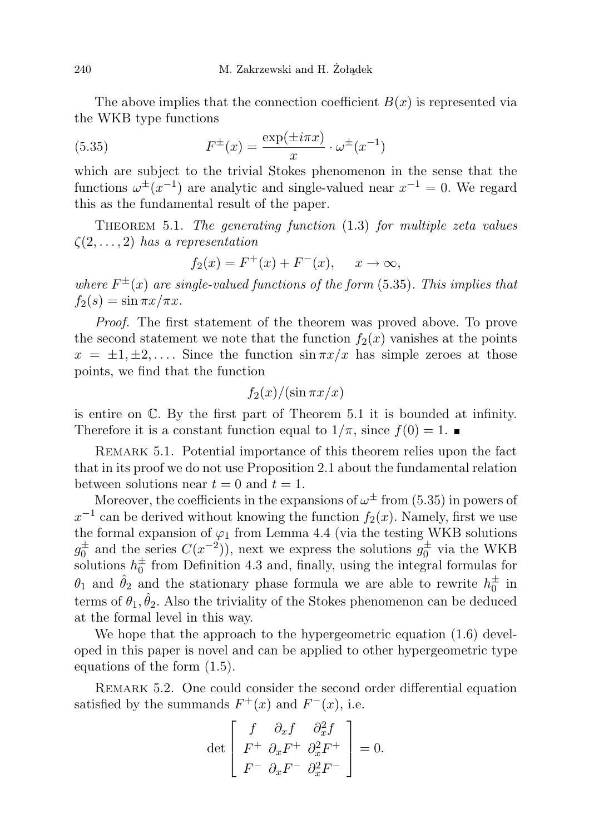The above implies that the connection coefficient  $B(x)$  is represented via the WKB type functions

(5.35) 
$$
F^{\pm}(x) = \frac{\exp(\pm i\pi x)}{x} \cdot \omega^{\pm}(x^{-1})
$$

which are subject to the trivial Stokes phenomenon in the sense that the functions  $\omega^{\pm}(x^{-1})$  are analytic and single-valued near  $x^{-1} = 0$ . We regard this as the fundamental result of the paper.

THEOREM 5.1. The generating function  $(1.3)$  for multiple zeta values  $\zeta(2,\ldots,2)$  has a representation

$$
f_2(x) = F^+(x) + F^-(x), \quad x \to \infty,
$$

where  $F^{\pm}(x)$  are single-valued functions of the form (5.35). This implies that  $f_2(s) = \sin \pi x / \pi x$ .

Proof. The first statement of the theorem was proved above. To prove the second statement we note that the function  $f_2(x)$  vanishes at the points  $x = \pm 1, \pm 2, \ldots$  Since the function  $\sin \pi x/x$  has simple zeroes at those points, we find that the function

$$
f_2(x)/(\sin \pi x/x)
$$

is entire on C. By the first part of Theorem 5.1 it is bounded at infinity. Therefore it is a constant function equal to  $1/\pi$ , since  $f(0) = 1$ .

REMARK 5.1. Potential importance of this theorem relies upon the fact that in its proof we do not use Proposition 2.1 about the fundamental relation between solutions near  $t = 0$  and  $t = 1$ .

Moreover, the coefficients in the expansions of  $\omega^{\pm}$  from (5.35) in powers of  $x^{-1}$  can be derived without knowing the function  $f_2(x)$ . Namely, first we use the formal expansion of  $\varphi_1$  from Lemma 4.4 (via the testing WKB solutions  $g_0^{\pm}$  and the series  $C(x^{-2})$ , next we express the solutions  $g_0^{\pm}$  via the WKB solutions  $h_0^{\pm}$  from Definition 4.3 and, finally, using the integral formulas for  $\theta_1$  and  $\hat{\theta}_2$  and the stationary phase formula we are able to rewrite  $h_0^{\pm}$  in terms of  $\theta_1, \hat{\theta}_2$ . Also the triviality of the Stokes phenomenon can be deduced at the formal level in this way.

We hope that the approach to the hypergeometric equation  $(1.6)$  developed in this paper is novel and can be applied to other hypergeometric type equations of the form (1.5).

REMARK 5.2. One could consider the second order differential equation satisfied by the summands  $F^+(x)$  and  $F^-(x)$ , i.e.

$$
\det \left[ \begin{array}{cc} f & \partial_x f & \partial_x^2 f \\ F^+ & \partial_x F^+ & \partial_x^2 F^+ \\ F^- & \partial_x F^- & \partial_x^2 F^- \end{array} \right] = 0.
$$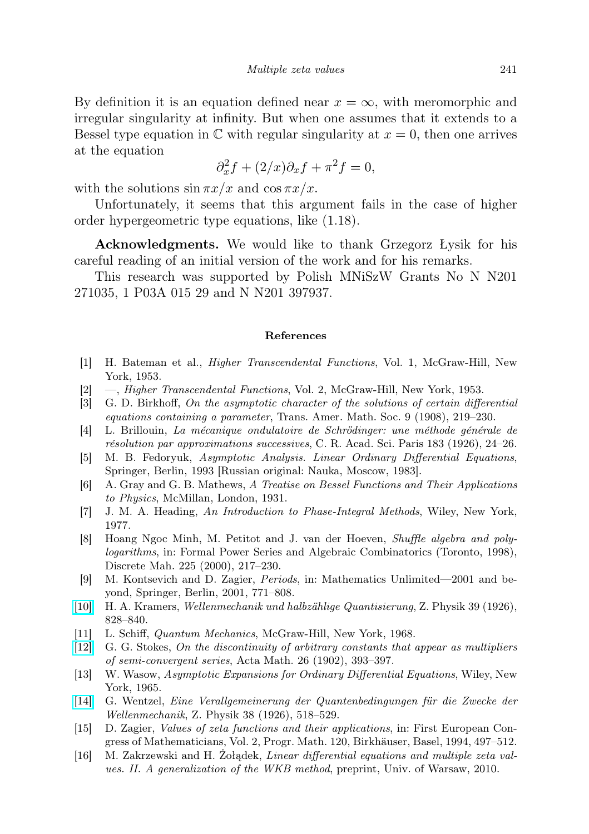By definition it is an equation defined near  $x = \infty$ , with meromorphic and irregular singularity at infinity. But when one assumes that it extends to a Bessel type equation in  $\mathbb C$  with regular singularity at  $x = 0$ , then one arrives at the equation

$$
\partial_x^2 f + (2/x)\partial_x f + \pi^2 f = 0,
$$

with the solutions  $\sin \pi x/x$  and  $\cos \pi x/x$ .

Unfortunately, it seems that this argument fails in the case of higher order hypergeometric type equations, like (1.18).

Acknowledgments. We would like to thank Grzegorz Łysik for his careful reading of an initial version of the work and for his remarks.

This research was supported by Polish MNiSzW Grants No N N201 271035, 1 P03A 015 29 and N N201 397937.

#### References

- <span id="page-34-1"></span>[1] H. Bateman et al., Higher Transcendental Functions, Vol. 1, McGraw-Hill, New York, 1953.
- <span id="page-34-6"></span>[2] —, Higher Transcendental Functions, Vol. 2, McGraw-Hill, New York, 1953.
- <span id="page-34-14"></span>[3] G. D. Birkhoff, On the asymptotic character of the solutions of certain differential equations containing a parameter, Trans. Amer. Math. Soc. 9 (1908), 219–230.
- <span id="page-34-11"></span>[4] L. Brillouin, La mécanique ondulatoire de Schrödinger: une méthode générale de résolution par approximations successives, C. R. Acad. Sci. Paris 183 (1926), 24–26.
- <span id="page-34-13"></span>[5] M. B. Fedoryuk, Asymptotic Analysis. Linear Ordinary Differential Equations, Springer, Berlin, 1993 [Russian original: Nauka, Moscow, 1983].
- <span id="page-34-7"></span>[6] A. Gray and G. B. Mathews, A Treatise on Bessel Functions and Their Applications to Physics, McMillan, London, 1931.
- <span id="page-34-8"></span>[7] J. M. A. Heading, An Introduction to Phase-Integral Methods, Wiley, New York, 1977.
- <span id="page-34-2"></span>[8] Hoang Ngoc Minh, M. Petitot and J. van der Hoeven, Shuffle algebra and polylogarithms, in: Formal Power Series and Algebraic Combinatorics (Toronto, 1998), Discrete Mah. 225 (2000), 217–230.
- <span id="page-34-3"></span>[9] M. Kontsevich and D. Zagier, Periods, in: Mathematics Unlimited—2001 and beyond, Springer, Berlin, 2001, 771–808.
- <span id="page-34-10"></span>[\[10\]](http://dx.doi.org/10.1007/BF01451751) H. A. Kramers, Wellenmechanik und halbzählige Quantisierung, Z. Physik 39 (1926), 828–840.
- <span id="page-34-12"></span>[11] L. Schiff, Quantum Mechanics, McGraw-Hill, New York, 1968.
- <span id="page-34-15"></span>[\[12\]](http://dx.doi.org/10.1007/BF02415503) G. G. Stokes, On the discontinuity of arbitrary constants that appear as multipliers of semi-convergent series, Acta Math. 26 (1902), 393–397.
- <span id="page-34-5"></span>[13] W. Wasow, Asymptotic Expansions for Ordinary Differential Equations, Wiley, New York, 1965.
- <span id="page-34-9"></span>[\[14\]](http://dx.doi.org/10.1007/BF01397171) G. Wentzel, Eine Verallgemeinerung der Quantenbedingungen für die Zwecke der Wellenmechanik, Z. Physik 38 (1926), 518–529.
- <span id="page-34-0"></span>[15] D. Zagier, Values of zeta functions and their applications, in: First European Congress of Mathematicians, Vol. 2, Progr. Math. 120, Birkhäuser, Basel, 1994, 497–512.
- <span id="page-34-4"></span>[16] M. Zakrzewski and H. Żołądek, Linear differential equations and multiple zeta values. II. A generalization of the WKB method, preprint, Univ. of Warsaw, 2010.